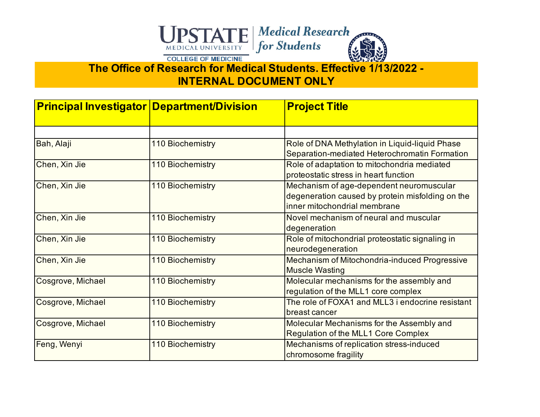

**INTERNAL DOCUMENT ONLY**

| <b>Principal Investigator Department/Division</b> |                         | <b>Project Title</b>                                                                                                         |
|---------------------------------------------------|-------------------------|------------------------------------------------------------------------------------------------------------------------------|
|                                                   |                         |                                                                                                                              |
| Bah, Alaji                                        | <b>110 Biochemistry</b> | Role of DNA Methylation in Liquid-liquid Phase<br>Separation-mediated Heterochromatin Formation                              |
| Chen, Xin Jie                                     | 110 Biochemistry        | Role of adaptation to mitochondria mediated<br>proteostatic stress in heart function                                         |
| Chen, Xin Jie                                     | 110 Biochemistry        | Mechanism of age-dependent neuromuscular<br>degeneration caused by protein misfolding on the<br>inner mitochondrial membrane |
| Chen, Xin Jie                                     | 110 Biochemistry        | Novel mechanism of neural and muscular<br>degeneration                                                                       |
| Chen, Xin Jie                                     | <b>110 Biochemistry</b> | Role of mitochondrial proteostatic signaling in<br>neurodegeneration                                                         |
| Chen, Xin Jie                                     | <b>110 Biochemistry</b> | Mechanism of Mitochondria-induced Progressive<br><b>Muscle Wasting</b>                                                       |
| Cosgrove, Michael                                 | 110 Biochemistry        | Molecular mechanisms for the assembly and<br>regulation of the MLL1 core complex                                             |
| Cosgrove, Michael                                 | 110 Biochemistry        | The role of FOXA1 and MLL3 i endocrine resistant<br>breast cancer                                                            |
| Cosgrove, Michael                                 | <b>110 Biochemistry</b> | Molecular Mechanisms for the Assembly and<br><b>Regulation of the MLL1 Core Complex</b>                                      |
| Feng, Wenyi                                       | 110 Biochemistry        | Mechanisms of replication stress-induced<br>chromosome fragility                                                             |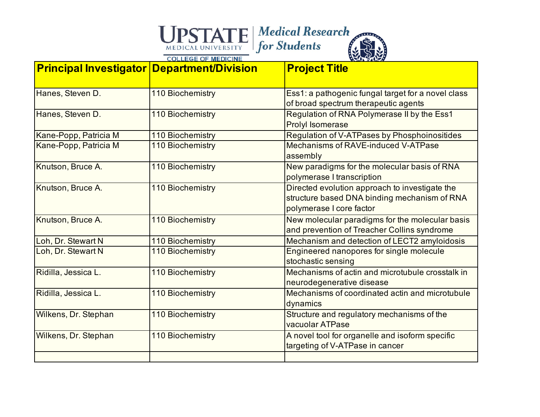| <b>Principal Investigator Department/Division</b> |                         | <b>Project Title</b>                                                                                                       |
|---------------------------------------------------|-------------------------|----------------------------------------------------------------------------------------------------------------------------|
| Hanes, Steven D.                                  | 110 Biochemistry        | Ess1: a pathogenic fungal target for a novel class<br>of broad spectrum therapeutic agents                                 |
| Hanes, Steven D.                                  | <b>110 Biochemistry</b> | Regulation of RNA Polymerase II by the Ess1<br><b>Prolyl Isomerase</b>                                                     |
| Kane-Popp, Patricia M                             | 110 Biochemistry        | Regulation of V-ATPases by Phosphoinositides                                                                               |
| Kane-Popp, Patricia M                             | <b>110 Biochemistry</b> | Mechanisms of RAVE-induced V-ATPase<br>assembly                                                                            |
| Knutson, Bruce A.                                 | 110 Biochemistry        | New paradigms for the molecular basis of RNA<br>polymerase I transcription                                                 |
| Knutson, Bruce A.                                 | 110 Biochemistry        | Directed evolution approach to investigate the<br>structure based DNA binding mechanism of RNA<br>polymerase I core factor |
| Knutson, Bruce A.                                 | 110 Biochemistry        | New molecular paradigms for the molecular basis<br>and prevention of Treacher Collins syndrome                             |
| Loh, Dr. Stewart N                                | 110 Biochemistry        | Mechanism and detection of LECT2 amyloidosis                                                                               |
| Loh, Dr. Stewart N                                | 110 Biochemistry        | Engineered nanopores for single molecule<br>stochastic sensing                                                             |
| Ridilla, Jessica L.                               | 110 Biochemistry        | Mechanisms of actin and microtubule crosstalk in<br>neurodegenerative disease                                              |
| Ridilla, Jessica L.                               | <b>110 Biochemistry</b> | Mechanisms of coordinated actin and microtubule<br>dynamics                                                                |
| Wilkens, Dr. Stephan                              | <b>110 Biochemistry</b> | Structure and regulatory mechanisms of the<br>vacuolar ATPase                                                              |
| Wilkens, Dr. Stephan                              | <b>110 Biochemistry</b> | A novel tool for organelle and isoform specific<br>targeting of V-ATPase in cancer                                         |
|                                                   |                         |                                                                                                                            |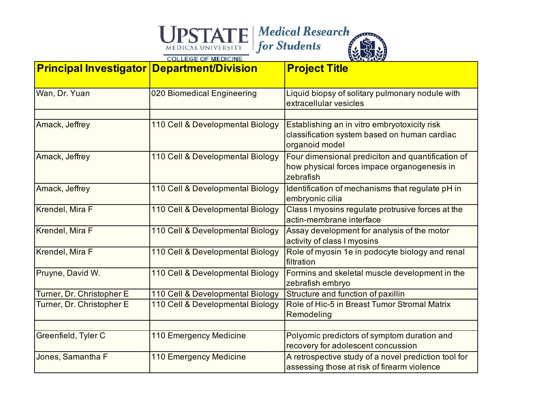| <b>Principal Investigator Department/Division</b> |                                  | <b>Project Title</b>                                                                                           |
|---------------------------------------------------|----------------------------------|----------------------------------------------------------------------------------------------------------------|
| Wan, Dr. Yuan                                     | 020 Biomedical Engineering       | Liquid biopsy of solitary pulmonary nodule with<br>extracellular vesicles                                      |
|                                                   |                                  |                                                                                                                |
| Amack, Jeffrey                                    | 110 Cell & Developmental Biology | Establishing an in vitro embryotoxicity risk<br>classification system based on human cardiac<br>organoid model |
| Amack, Jeffrey                                    | 110 Cell & Developmental Biology | Four dimensional prediciton and quantification of<br>how physical forces impace organogenesis in<br>zebrafish  |
| Amack, Jeffrey                                    | 110 Cell & Developmental Biology | Identification of mechanisms that regulate pH in<br>embryonic cilia                                            |
| Krendel, Mira F                                   | 110 Cell & Developmental Biology | Class I myosins regulate protrusive forces at the<br>actin-membrane interface                                  |
| Krendel, Mira F                                   | 110 Cell & Developmental Biology | Assay development for analysis of the motor<br>activity of class I myosins                                     |
| Krendel, Mira F                                   | 110 Cell & Developmental Biology | Role of myosin 1e in podocyte biology and renal<br>filtration                                                  |
| Pruyne, David W.                                  | 110 Cell & Developmental Biology | Formins and skeletal muscle development in the<br>zebrafish embryo                                             |
| Turner, Dr. Christopher E                         | 110 Cell & Developmental Biology | Structure and function of paxillin                                                                             |
| Turner, Dr. Christopher E                         | 110 Cell & Developmental Biology | Role of Hic-5 in Breast Tumor Stromal Matrix<br>Remodeling                                                     |
|                                                   |                                  |                                                                                                                |
| Greenfield, Tyler C                               | 110 Emergency Medicine           | Polyomic predictors of symptom duration and<br>recovery for adolescent concussion                              |
| Jones, Samantha F                                 | 110 Emergency Medicine           | A retrospective study of a novel prediction tool for<br>assessing those at risk of firearm violence            |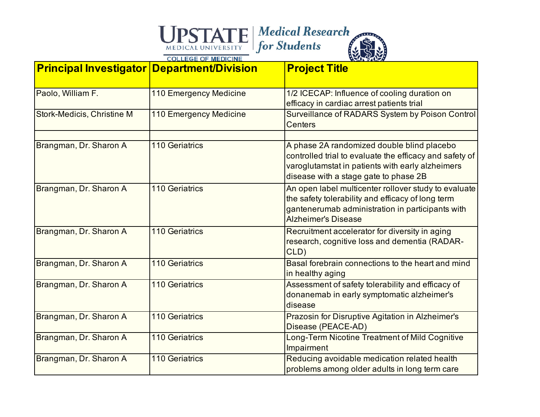| <b>Principal Investigator Department/Division</b> |                        | <b>Project Title</b>                                                                                                                                                                               |
|---------------------------------------------------|------------------------|----------------------------------------------------------------------------------------------------------------------------------------------------------------------------------------------------|
| Paolo, William F.                                 | 110 Emergency Medicine | 1/2 ICECAP: Influence of cooling duration on<br>efficacy in cardiac arrest patients trial                                                                                                          |
| <b>Stork-Medicis, Christine M</b>                 | 110 Emergency Medicine | Surveillance of RADARS System by Poison Control<br><b>Centers</b>                                                                                                                                  |
| Brangman, Dr. Sharon A                            | <b>110 Geriatrics</b>  | A phase 2A randomized double blind placebo<br>controlled trial to evaluate the efficacy and safety of<br>varoglutamstat in patients with early alzheimers<br>disease with a stage gate to phase 2B |
| Brangman, Dr. Sharon A                            | <b>110 Geriatrics</b>  | An open label multicenter rollover study to evaluate<br>the safety tolerability and efficacy of long term<br>gantenerumab administration in participants with<br><b>Alzheimer's Disease</b>        |
| Brangman, Dr. Sharon A                            | <b>110 Geriatrics</b>  | Recruitment accelerator for diversity in aging<br>research, cognitive loss and dementia (RADAR-<br>CLD)                                                                                            |
| Brangman, Dr. Sharon A                            | <b>110 Geriatrics</b>  | Basal forebrain connections to the heart and mind<br>in healthy aging                                                                                                                              |
| Brangman, Dr. Sharon A                            | <b>110 Geriatrics</b>  | Assessment of safety tolerability and efficacy of<br>donanemab in early symptomatic alzheimer's<br>disease                                                                                         |
| Brangman, Dr. Sharon A                            | <b>110 Geriatrics</b>  | Prazosin for Disruptive Agitation in Alzheimer's<br>Disease (PEACE-AD)                                                                                                                             |
| Brangman, Dr. Sharon A                            | <b>110 Geriatrics</b>  | Long-Term Nicotine Treatment of Mild Cognitive<br>Impairment                                                                                                                                       |
| Brangman, Dr. Sharon A                            | <b>110 Geriatrics</b>  | Reducing avoidable medication related health<br>problems among older adults in long term care                                                                                                      |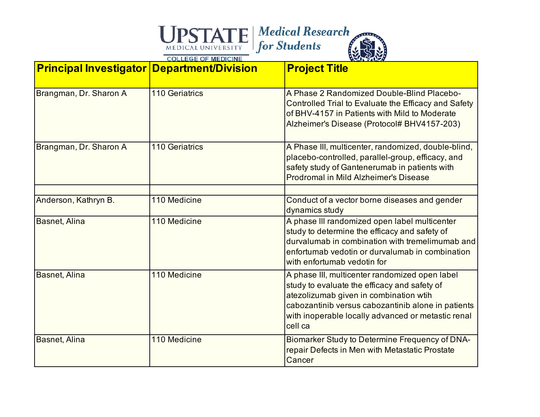| <b>Principal Investigator Department/Division</b> |                       | <b>Project Title</b>                                                                                                                                                                                                                                            |
|---------------------------------------------------|-----------------------|-----------------------------------------------------------------------------------------------------------------------------------------------------------------------------------------------------------------------------------------------------------------|
| Brangman, Dr. Sharon A                            | <b>110 Geriatrics</b> | A Phase 2 Randomized Double-Blind Placebo-<br>Controlled Trial to Evaluate the Efficacy and Safety<br>of BHV-4157 in Patients with Mild to Moderate<br>Alzheimer's Disease (Protocol# BHV4157-203)                                                              |
| Brangman, Dr. Sharon A                            | <b>110 Geriatrics</b> | A Phase III, multicenter, randomized, double-blind,<br>placebo-controlled, parallel-group, efficacy, and<br>safety study of Gantenerumab in patients with<br><b>Prodromal in Mild Alzheimer's Disease</b>                                                       |
| Anderson, Kathryn B.                              | 110 Medicine          | Conduct of a vector borne diseases and gender                                                                                                                                                                                                                   |
|                                                   |                       | dynamics study                                                                                                                                                                                                                                                  |
| Basnet, Alina                                     | 110 Medicine          | A phase III randomized open label multicenter<br>study to determine the efficacy and safety of<br>durvalumab in combination with tremelimumab and<br>enfortumab vedotin or durvalumab in combination<br>with enfortumab vedotin for                             |
| Basnet, Alina                                     | 110 Medicine          | A phase III, multicenter randomized open label<br>study to evaluate the efficacy and safety of<br>atezolizumab given in combination wtih<br>cabozantinib versus cabozantinib alone in patients<br>with inoperable locally advanced or metastic renal<br>cell ca |
| Basnet, Alina                                     | 110 Medicine          | Biomarker Study to Determine Frequency of DNA-<br>repair Defects in Men with Metastatic Prostate<br>Cancer                                                                                                                                                      |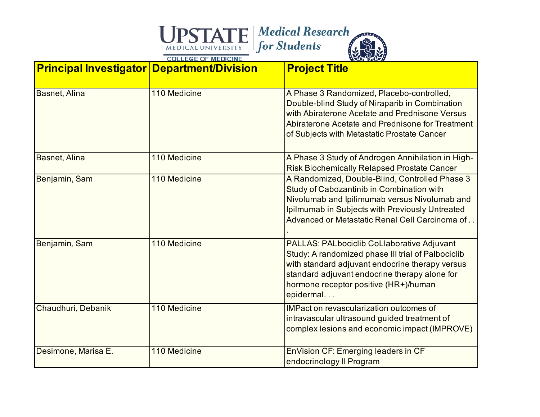| <b>Principal Investigator Department/Division</b> |              | <b>Project Title</b>                                                                                                                                                                                                                                       |
|---------------------------------------------------|--------------|------------------------------------------------------------------------------------------------------------------------------------------------------------------------------------------------------------------------------------------------------------|
| <b>Basnet, Alina</b>                              | 110 Medicine | A Phase 3 Randomized, Placebo-controlled,<br>Double-blind Study of Niraparib in Combination<br>with Abiraterone Acetate and Prednisone Versus<br>Abiraterone Acetate and Prednisone for Treatment<br>of Subjects with Metastatic Prostate Cancer           |
| Basnet, Alina                                     | 110 Medicine | A Phase 3 Study of Androgen Annihilation in High-<br><b>Risk Biochemically Relapsed Prostate Cancer</b>                                                                                                                                                    |
| Benjamin, Sam                                     | 110 Medicine | A Randomized, Double-Blind, Controlled Phase 3<br>Study of Cabozantinib in Combination with<br>Nivolumab and Ipilimumab versus Nivolumab and<br>Ipilmumab in Subjects with Previously Untreated<br>Advanced or Metastatic Renal Cell Carcinoma of          |
| Benjamin, Sam                                     | 110 Medicine | PALLAS: PALbociclib CoLlaborative Adjuvant<br>Study: A randomized phase III trial of Palbociclib<br>with standard adjuvant endocrine therapy versus<br>standard adjuvant endocrine therapy alone for<br>hormone receptor positive (HR+)/human<br>epidermal |
| Chaudhuri, Debanik                                | 110 Medicine | <b>IMPact on revascularization outcomes of</b><br>intravascular ultrasound guided treatment of<br>complex lesions and economic impact (IMPROVE)                                                                                                            |
| Desimone, Marisa E.                               | 110 Medicine | EnVision CF: Emerging leaders in CF<br>endocrinology II Program                                                                                                                                                                                            |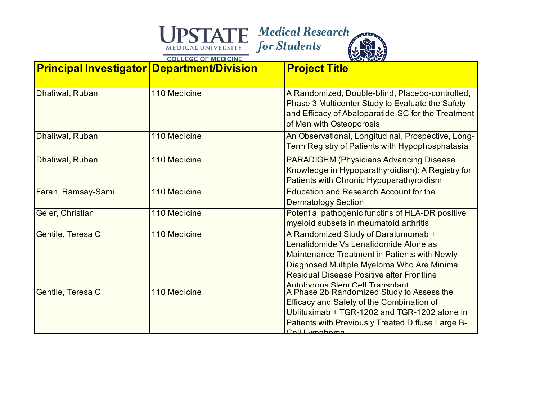| <b>Principal Investigator Department/Division</b> |              | <b>Project Title</b>                                                                                                                                                                                                                                              |
|---------------------------------------------------|--------------|-------------------------------------------------------------------------------------------------------------------------------------------------------------------------------------------------------------------------------------------------------------------|
| Dhaliwal, Ruban                                   | 110 Medicine | A Randomized, Double-blind, Placebo-controlled,<br>Phase 3 Multicenter Study to Evaluate the Safety<br>and Efficacy of Abaloparatide-SC for the Treatment<br>of Men with Osteoporosis                                                                             |
| Dhaliwal, Ruban                                   | 110 Medicine | An Observational, Longitudinal, Prospective, Long-<br>Term Registry of Patients with Hypophosphatasia                                                                                                                                                             |
| Dhaliwal, Ruban                                   | 110 Medicine | <b>PARADIGHM (Physicians Advancing Disease)</b><br>Knowledge in Hypoparathyroidism): A Registry for<br>Patients with Chronic Hypoparathyroidism                                                                                                                   |
| Farah, Ramsay-Sami                                | 110 Medicine | Education and Research Account for the<br><b>Dermatology Section</b>                                                                                                                                                                                              |
| Geier, Christian                                  | 110 Medicine | Potential pathogenic functins of HLA-DR positive<br>myeloid subsets in rheumatoid arthritis                                                                                                                                                                       |
| Gentile, Teresa C                                 | 110 Medicine | A Randomized Study of Daratumumab +<br>Lenalidomide Vs Lenalidomide Alone as<br>Maintenance Treatment in Patients with Newly<br>Diagnosed Multiple Myeloma Who Are Minimal<br><b>Residual Disease Positive after Frontline</b><br>Autologous Stem Cell Transplant |
| Gentile, Teresa C                                 | 110 Medicine | A Phase 2b Randomized Study to Assess the<br>Efficacy and Safety of the Combination of<br>Ublituximab + TGR-1202 and TGR-1202 alone in<br>Patients with Previously Treated Diffuse Large B-<br>Call important                                                     |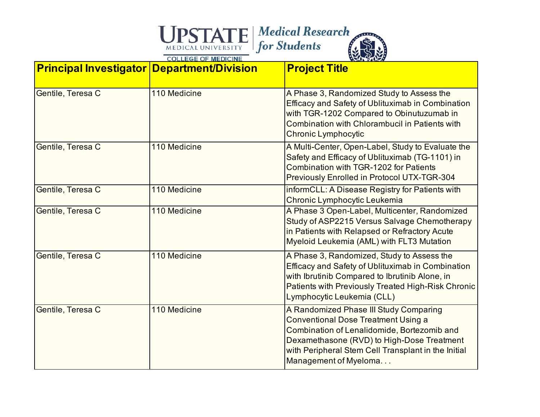| <b>Principal Investigator Department/Division</b> |              | <b>Project Title</b>                                                                                                                                                                                                                                              |
|---------------------------------------------------|--------------|-------------------------------------------------------------------------------------------------------------------------------------------------------------------------------------------------------------------------------------------------------------------|
| Gentile, Teresa C                                 | 110 Medicine | A Phase 3, Randomized Study to Assess the<br>Efficacy and Safety of Ublituximab in Combination<br>with TGR-1202 Compared to Obinutuzumab in<br>Combination with Chlorambucil in Patients with<br>Chronic Lymphocytic                                              |
| Gentile, Teresa C                                 | 110 Medicine | A Multi-Center, Open-Label, Study to Evaluate the<br>Safety and Efficacy of Ublituximab (TG-1101) in<br>Combination with TGR-1202 for Patients<br>Previously Enrolled in Protocol UTX-TGR-304                                                                     |
| Gentile, Teresa C                                 | 110 Medicine | informCLL: A Disease Registry for Patients with<br>Chronic Lymphocytic Leukemia                                                                                                                                                                                   |
| Gentile, Teresa C                                 | 110 Medicine | A Phase 3 Open-Label, Multicenter, Randomized<br>Study of ASP2215 Versus Salvage Chemotherapy<br>in Patients with Relapsed or Refractory Acute<br>Myeloid Leukemia (AML) with FLT3 Mutation                                                                       |
| Gentile, Teresa C                                 | 110 Medicine | A Phase 3, Randomized, Study to Assess the<br>Efficacy and Safety of Ublituximab in Combination<br>with Ibrutinib Compared to Ibrutinib Alone, in<br>Patients with Previously Treated High-Risk Chronic<br>Lymphocytic Leukemia (CLL)                             |
| Gentile, Teresa C                                 | 110 Medicine | A Randomized Phase III Study Comparing<br><b>Conventional Dose Treatment Using a</b><br>Combination of Lenalidomide, Bortezomib and<br>Dexamethasone (RVD) to High-Dose Treatment<br>with Peripheral Stem Cell Transplant in the Initial<br>Management of Myeloma |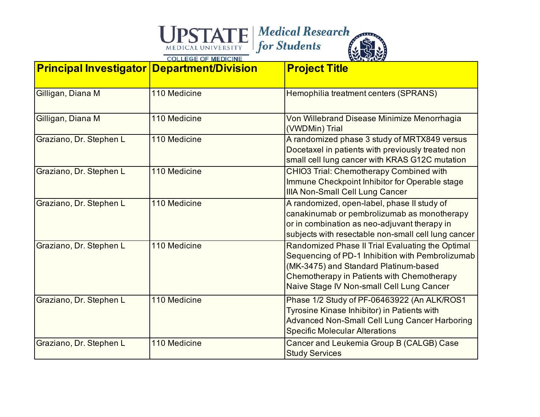| <b>Principal Investigator Department/Division</b> |              | <b>Project Title</b>                                                                                                                                                                                                                     |
|---------------------------------------------------|--------------|------------------------------------------------------------------------------------------------------------------------------------------------------------------------------------------------------------------------------------------|
| Gilligan, Diana M                                 | 110 Medicine | Hemophilia treatment centers (SPRANS)                                                                                                                                                                                                    |
| Gilligan, Diana M                                 | 110 Medicine | Von Willebrand Disease Minimize Menorrhagia<br>(VWDMin) Trial                                                                                                                                                                            |
| Graziano, Dr. Stephen L                           | 110 Medicine | A randomized phase 3 study of MRTX849 versus<br>Docetaxel in patients with previously treated non<br>small cell lung cancer with KRAS G12C mutation                                                                                      |
| Graziano, Dr. Stephen L                           | 110 Medicine | <b>CHIO3 Trial: Chemotherapy Combined with</b><br>Immune Checkpoint Inhibitor for Operable stage<br><b>IIIA Non-Small Cell Lung Cancer</b>                                                                                               |
| Graziano, Dr. Stephen L                           | 110 Medicine | A randomized, open-label, phase II study of<br>canakinumab or pembrolizumab as monotherapy<br>or in combination as neo-adjuvant therapy in<br>subjects with resectable non-small cell lung cancer                                        |
| Graziano, Dr. Stephen L                           | 110 Medicine | Randomized Phase II Trial Evaluating the Optimal<br>Sequencing of PD-1 Inhibition with Pembrolizumab<br>(MK-3475) and Standard Platinum-based<br>Chemotherapy in Patients with Chemotherapy<br>Naive Stage IV Non-small Cell Lung Cancer |
| Graziano, Dr. Stephen L                           | 110 Medicine | Phase 1/2 Study of PF-06463922 (An ALK/ROS1<br>Tyrosine Kinase Inhibitor) in Patients with<br><b>Advanced Non-Small Cell Lung Cancer Harboring</b><br><b>Specific Molecular Alterations</b>                                              |
| Graziano, Dr. Stephen L                           | 110 Medicine | Cancer and Leukemia Group B (CALGB) Case<br><b>Study Services</b>                                                                                                                                                                        |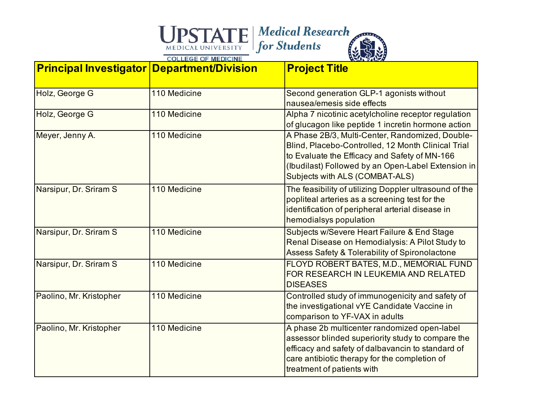| <b>Principal Investigator Department/Division</b> |              | <b>Project Title</b>                                                                                                                                                                                                                           |
|---------------------------------------------------|--------------|------------------------------------------------------------------------------------------------------------------------------------------------------------------------------------------------------------------------------------------------|
| Holz, George G                                    | 110 Medicine | Second generation GLP-1 agonists without<br>nausea/emesis side effects                                                                                                                                                                         |
| Holz, George G                                    | 110 Medicine | Alpha 7 nicotinic acetylcholine receptor regulation<br>of glucagon like peptide 1 incretin hormone action                                                                                                                                      |
| Meyer, Jenny A.                                   | 110 Medicine | A Phase 2B/3, Multi-Center, Randomized, Double-<br>Blind, Placebo-Controlled, 12 Month Clinical Trial<br>to Evaluate the Efficacy and Safety of MN-166<br>(Ibudilast) Followed by an Open-Label Extension in<br>Subjects with ALS (COMBAT-ALS) |
| Narsipur, Dr. Sriram S                            | 110 Medicine | The feasibility of utilizing Doppler ultrasound of the<br>popliteal arteries as a screening test for the<br>identification of peripheral arterial disease in<br>hemodialsys population                                                         |
| Narsipur, Dr. Sriram S                            | 110 Medicine | Subjects w/Severe Heart Failure & End Stage<br>Renal Disease on Hemodialysis: A Pilot Study to<br>Assess Safety & Tolerability of Spironolactone                                                                                               |
| Narsipur, Dr. Sriram S                            | 110 Medicine | FLOYD ROBERT BATES, M.D., MEMORIAL FUND<br>FOR RESEARCH IN LEUKEMIA AND RELATED<br><b>DISEASES</b>                                                                                                                                             |
| Paolino, Mr. Kristopher                           | 110 Medicine | Controlled study of immunogenicity and safety of<br>the investigational vYE Candidate Vaccine in<br>comparison to YF-VAX in adults                                                                                                             |
| Paolino, Mr. Kristopher                           | 110 Medicine | A phase 2b multicenter randomized open-label<br>assessor blinded superiority study to compare the<br>efficacy and safety of dalbavancin to standard of<br>care antibiotic therapy for the completion of<br>treatment of patients with          |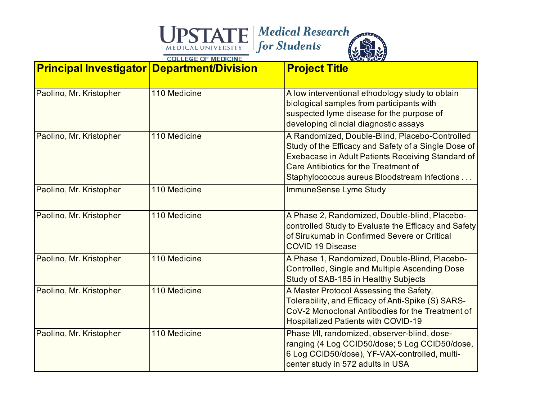### Medical Medical Research

| <b>Principal Investigator Department/Division</b> |              | <b>Project Title</b>                                                                                                                                                                                                                                 |
|---------------------------------------------------|--------------|------------------------------------------------------------------------------------------------------------------------------------------------------------------------------------------------------------------------------------------------------|
| Paolino, Mr. Kristopher                           | 110 Medicine | A low interventional ethodology study to obtain<br>biological samples from participants with<br>suspected lyme disease for the purpose of<br>developing clincial diagnostic assays                                                                   |
| Paolino, Mr. Kristopher                           | 110 Medicine | A Randomized, Double-Blind, Placebo-Controlled<br>Study of the Efficacy and Safety of a Single Dose of<br>Exebacase in Adult Patients Receiving Standard of<br>Care Antibiotics for the Treatment of<br>Staphylococcus aureus Bloodstream Infections |
| Paolino, Mr. Kristopher                           | 110 Medicine | <b>ImmuneSense Lyme Study</b>                                                                                                                                                                                                                        |
| Paolino, Mr. Kristopher                           | 110 Medicine | A Phase 2, Randomized, Double-blind, Placebo-<br>controlled Study to Evaluate the Efficacy and Safety<br>of Sirukumab in Confirmed Severe or Critical<br><b>COVID 19 Disease</b>                                                                     |
| Paolino, Mr. Kristopher                           | 110 Medicine | A Phase 1, Randomized, Double-Blind, Placebo-<br><b>Controlled, Single and Multiple Ascending Dose</b><br>Study of SAB-185 in Healthy Subjects                                                                                                       |
| Paolino, Mr. Kristopher                           | 110 Medicine | A Master Protocol Assessing the Safety,<br>Tolerability, and Efficacy of Anti-Spike (S) SARS-<br>CoV-2 Monoclonal Antibodies for the Treatment of<br><b>Hospitalized Patients with COVID-19</b>                                                      |
| Paolino, Mr. Kristopher                           | 110 Medicine | Phase I/II, randomized, observer-blind, dose-<br>ranging (4 Log CCID50/dose; 5 Log CCID50/dose,<br>6 Log CCID50/dose), YF-VAX-controlled, multi-<br>center study in 572 adults in USA                                                                |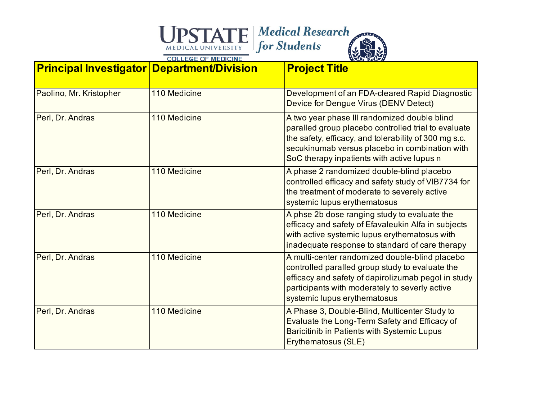| <b>Principal Investigator Department/Division</b> |              | <b>Project Title</b>                                                                                                                                                                                                                                         |
|---------------------------------------------------|--------------|--------------------------------------------------------------------------------------------------------------------------------------------------------------------------------------------------------------------------------------------------------------|
| Paolino, Mr. Kristopher                           | 110 Medicine | Development of an FDA-cleared Rapid Diagnostic<br>Device for Dengue Virus (DENV Detect)                                                                                                                                                                      |
| Perl, Dr. Andras                                  | 110 Medicine | A two year phase III randomized double blind<br>paralled group placebo controlled trial to evaluate<br>the safety, efficacy, and tolerability of 300 mg s.c.<br>secukinumab versus placebo in combination with<br>SoC therapy inpatients with active lupus n |
| Perl, Dr. Andras                                  | 110 Medicine | A phase 2 randomized double-blind placebo<br>controlled efficacy and safety study of VIB7734 for<br>the treatment of moderate to severely active<br>systemic lupus erythematosus                                                                             |
| Perl, Dr. Andras                                  | 110 Medicine | A phse 2b dose ranging study to evaluate the<br>efficacy and safety of Efavaleukin Alfa in subjects<br>with active systemic lupus erythematosus with<br>inadequate response to standard of care therapy                                                      |
| Perl, Dr. Andras                                  | 110 Medicine | A multi-center randomized double-blind placebo<br>controlled paralled group study to evaluate the<br>efficacy and safety of dapirolizumab pegol in study<br>participants with moderately to severly active<br>systemic lupus erythematosus                   |
| Perl, Dr. Andras                                  | 110 Medicine | A Phase 3, Double-Blind, Multicenter Study to<br>Evaluate the Long-Term Safety and Efficacy of<br>Baricitinib in Patients with Systemic Lupus<br>Erythematosus (SLE)                                                                                         |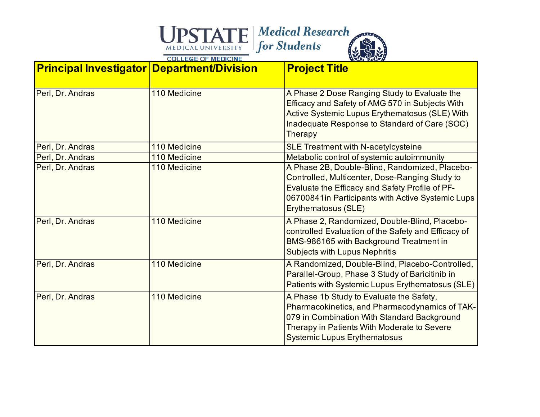| <b>Principal Investigator Department/Division</b> |              | <b>Project Title</b>                                                                                                                                                                                                            |
|---------------------------------------------------|--------------|---------------------------------------------------------------------------------------------------------------------------------------------------------------------------------------------------------------------------------|
| Perl, Dr. Andras                                  | 110 Medicine | A Phase 2 Dose Ranging Study to Evaluate the<br>Efficacy and Safety of AMG 570 in Subjects With<br>Active Systemic Lupus Erythematosus (SLE) With<br>Inadequate Response to Standard of Care (SOC)<br>Therapy                   |
| Perl, Dr. Andras                                  | 110 Medicine | <b>SLE Treatment with N-acetylcysteine</b>                                                                                                                                                                                      |
| Perl, Dr. Andras                                  | 110 Medicine | Metabolic control of systemic autoimmunity                                                                                                                                                                                      |
| Perl, Dr. Andras                                  | 110 Medicine | A Phase 2B, Double-Blind, Randomized, Placebo-<br>Controlled, Multicenter, Dose-Ranging Study to<br>Evaluate the Efficacy and Safety Profile of PF-<br>06700841in Participants with Active Systemic Lups<br>Erythematosus (SLE) |
| Perl, Dr. Andras                                  | 110 Medicine | A Phase 2, Randomized, Double-Blind, Placebo-<br>controlled Evaluation of the Safety and Efficacy of<br>BMS-986165 with Background Treatment in<br><b>Subjects with Lupus Nephritis</b>                                         |
| Perl, Dr. Andras                                  | 110 Medicine | A Randomized, Double-Blind, Placebo-Controlled,<br>Parallel-Group, Phase 3 Study of Baricitinib in<br>Patients with Systemic Lupus Erythematosus (SLE)                                                                          |
| Perl, Dr. Andras                                  | 110 Medicine | A Phase 1b Study to Evaluate the Safety,<br>Pharmacokinetics, and Pharmacodynamics of TAK-<br>079 in Combination With Standard Background<br>Therapy in Patients With Moderate to Severe<br><b>Systemic Lupus Erythematosus</b> |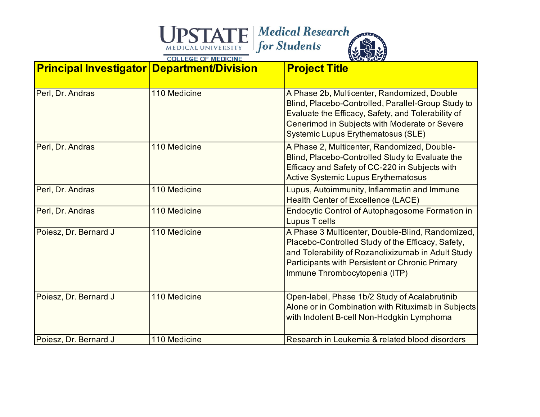| <b>Principal Investigator Department/Division</b> |              | <b>Project Title</b>                                                                                                                                                                                                                                  |
|---------------------------------------------------|--------------|-------------------------------------------------------------------------------------------------------------------------------------------------------------------------------------------------------------------------------------------------------|
| Perl, Dr. Andras                                  | 110 Medicine | A Phase 2b, Multicenter, Randomized, Double<br>Blind, Placebo-Controlled, Parallel-Group Study to<br>Evaluate the Efficacy, Safety, and Tolerability of<br>Cenerimod in Subjects with Moderate or Severe<br><b>Systemic Lupus Erythematosus (SLE)</b> |
| Perl, Dr. Andras                                  | 110 Medicine | A Phase 2, Multicenter, Randomized, Double-<br>Blind, Placebo-Controlled Study to Evaluate the<br>Efficacy and Safety of CC-220 in Subjects with<br><b>Active Systemic Lupus Erythematosus</b>                                                        |
| Perl, Dr. Andras                                  | 110 Medicine | Lupus, Autoimmunity, Inflammatin and Immune<br><b>Health Center of Excellence (LACE)</b>                                                                                                                                                              |
| Perl, Dr. Andras                                  | 110 Medicine | <b>Endocytic Control of Autophagosome Formation in</b><br><b>Lupus T cells</b>                                                                                                                                                                        |
| Poiesz, Dr. Bernard J                             | 110 Medicine | A Phase 3 Multicenter, Double-Blind, Randomized,<br>Placebo-Controlled Study of the Efficacy, Safety,<br>and Tolerability of Rozanolixizumab in Adult Study<br>Participants with Persistent or Chronic Primary<br>Immune Thrombocytopenia (ITP)       |
| Poiesz, Dr. Bernard J                             | 110 Medicine | Open-label, Phase 1b/2 Study of Acalabrutinib<br>Alone or in Combination with Rituximab in Subjects<br>with Indolent B-cell Non-Hodgkin Lymphoma                                                                                                      |
| Poiesz, Dr. Bernard J                             | 110 Medicine | Research in Leukemia & related blood disorders                                                                                                                                                                                                        |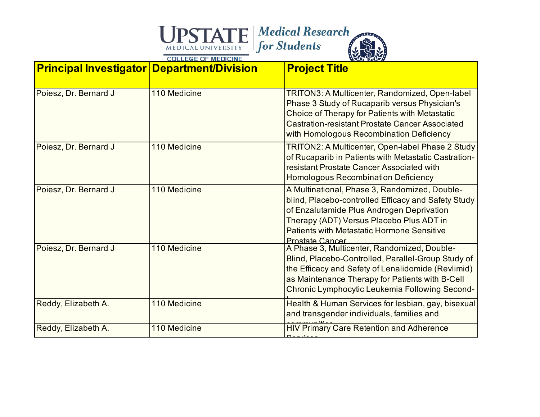| <b>Principal Investigator Department/Division</b> |              | <b>Project Title</b>                                                                                                                                                                                                                                                         |
|---------------------------------------------------|--------------|------------------------------------------------------------------------------------------------------------------------------------------------------------------------------------------------------------------------------------------------------------------------------|
| Poiesz, Dr. Bernard J                             | 110 Medicine | <b>TRITON3: A Multicenter, Randomized, Open-label</b><br>Phase 3 Study of Rucaparib versus Physician's<br>Choice of Therapy for Patients with Metastatic<br><b>Castration-resistant Prostate Cancer Associated</b><br>with Homologous Recombination Deficiency               |
| Poiesz, Dr. Bernard J                             | 110 Medicine | TRITON2: A Multicenter, Open-label Phase 2 Study<br>of Rucaparib in Patients with Metastatic Castration-<br>resistant Prostate Cancer Associated with<br><b>Homologous Recombination Deficiency</b>                                                                          |
| Poiesz, Dr. Bernard J                             | 110 Medicine | A Multinational, Phase 3, Randomized, Double-<br>blind, Placebo-controlled Efficacy and Safety Study<br>of Enzalutamide Plus Androgen Deprivation<br>Therapy (ADT) Versus Placebo Plus ADT in<br><b>Patients with Metastatic Hormone Sensitive</b><br><b>Prostate Cancer</b> |
| Poiesz, Dr. Bernard J                             | 110 Medicine | A Phase 3, Multicenter, Randomized, Double-<br>Blind, Placebo-Controlled, Parallel-Group Study of<br>the Efficacy and Safety of Lenalidomide (Revlimid)<br>as Maintenance Therapy for Patients with B-Cell<br>Chronic Lymphocytic Leukemia Following Second-                 |
| Reddy, Elizabeth A.                               | 110 Medicine | Health & Human Services for lesbian, gay, bisexual<br>and transgender individuals, families and                                                                                                                                                                              |
| Reddy, Elizabeth A.                               | 110 Medicine | <b>HIV Primary Care Retention and Adherence</b>                                                                                                                                                                                                                              |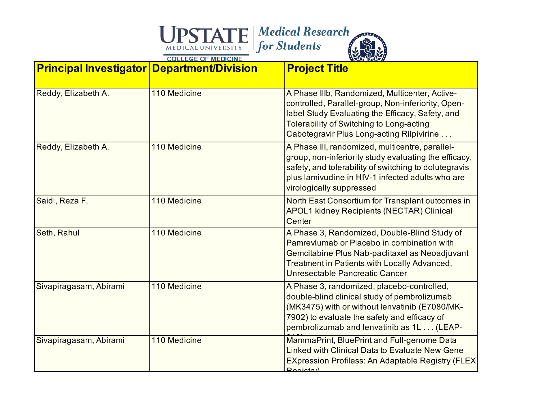| <b>Principal Investigator Department/Division</b> |              | <b>Project Title</b>                                                                                                                                                                                                                              |
|---------------------------------------------------|--------------|---------------------------------------------------------------------------------------------------------------------------------------------------------------------------------------------------------------------------------------------------|
| Reddy, Elizabeth A.                               | 110 Medicine | A Phase IIIb, Randomized, Multicenter, Active-<br>controlled, Parallel-group, Non-inferiority, Open-<br>label Study Evaluating the Efficacy, Safety, and<br>Tolerability of Switching to Long-acting<br>Cabotegravir Plus Long-acting Rilpivirine |
| Reddy, Elizabeth A.                               | 110 Medicine | A Phase III, randomized, multicentre, parallel-<br>group, non-inferiority study evaluating the efficacy,<br>safety, and tolerability of switching to dolutegravis<br>plus lamivudine in HIV-1 infected adults who are<br>virologically suppressed |
| Saidi, Reza F.                                    | 110 Medicine | North East Consortium for Transplant outcomes in<br><b>APOL1 kidney Recipients (NECTAR) Clinical</b><br>Center                                                                                                                                    |
| Seth, Rahul                                       | 110 Medicine | A Phase 3, Randomized, Double-Blind Study of<br>Pamrevlumab or Placebo in combination with<br>Gemcitabine Plus Nab-paclitaxel as Neoadjuvant<br>Treatment in Patients with Locally Advanced,<br>Unresectable Pancreatic Cancer                    |
| Sivapiragasam, Abirami                            | 110 Medicine | A Phase 3, randomized, placebo-controlled,<br>double-blind clinical study of pembrolizumab<br>(MK3475) with or without lenvatinib (E7080/MK-<br>7902) to evaluate the safety and efficacy of<br>pembrolizumab and lenvatinib as 1L (LEAP-         |
| Sivapiragasam, Abirami                            | 110 Medicine | MammaPrint, BluePrint and Full-genome Data<br>Linked with Clinical Data to Evaluate New Gene<br><b>EXpression Profiless: An Adaptable Registry (FLEX)</b><br>$D$ ogictry                                                                          |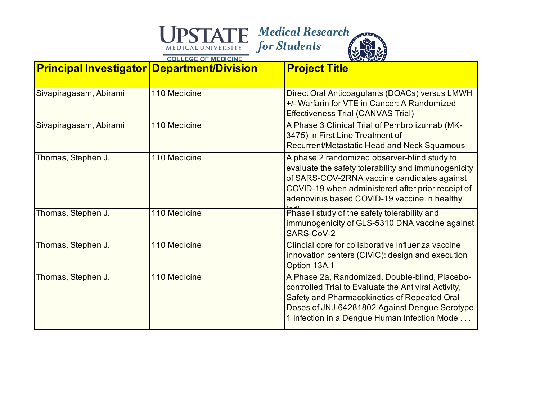| <b>Principal Investigator Department/Division</b> |              | <b>Project Title</b>                                                                                                                                                                                                                                     |
|---------------------------------------------------|--------------|----------------------------------------------------------------------------------------------------------------------------------------------------------------------------------------------------------------------------------------------------------|
| Sivapiragasam, Abirami                            | 110 Medicine | Direct Oral Anticoagulants (DOACs) versus LMWH<br>+/- Warfarin for VTE in Cancer: A Randomized<br><b>Effectiveness Trial (CANVAS Trial)</b>                                                                                                              |
| Sivapiragasam, Abirami                            | 110 Medicine | A Phase 3 Clinical Trial of Pembrolizumab (MK-<br>3475) in First Line Treatment of<br>Recurrent/Metastatic Head and Neck Squamous                                                                                                                        |
| Thomas, Stephen J.                                | 110 Medicine | A phase 2 randomized observer-blind study to<br>evaluate the safety tolerability and immunogenicity<br>of SARS-COV-2RNA vaccine candidates against<br>COVID-19 when administered after prior receipt of<br>adenovirus based COVID-19 vaccine in healthy  |
| Thomas, Stephen J.                                | 110 Medicine | Phase I study of the safety tolerability and<br>immunogenicity of GLS-5310 DNA vaccine against<br>SARS-CoV-2                                                                                                                                             |
| Thomas, Stephen J.                                | 110 Medicine | Clincial core for collaborative influenza vaccine<br>innovation centers (CIVIC): design and execution<br>Option 13A.1                                                                                                                                    |
| Thomas, Stephen J.                                | 110 Medicine | A Phase 2a, Randomized, Double-blind, Placebo-<br>controlled Trial to Evaluate the Antiviral Activity,<br>Safety and Pharmacokinetics of Repeated Oral<br>Doses of JNJ-64281802 Against Dengue Serotype<br>1 Infection in a Dengue Human Infection Model |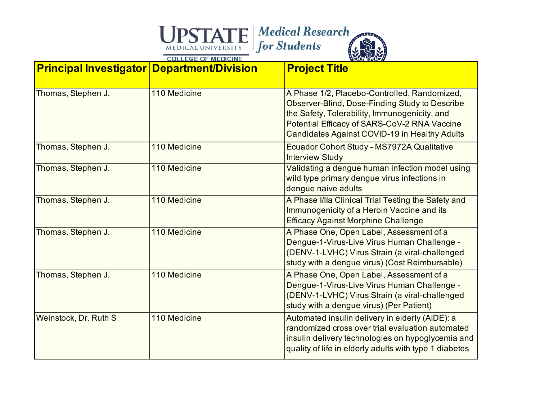| <b>Principal Investigator Department/Division</b> |              | <b>Project Title</b>                                                                                                                                                                                                                             |
|---------------------------------------------------|--------------|--------------------------------------------------------------------------------------------------------------------------------------------------------------------------------------------------------------------------------------------------|
| Thomas, Stephen J.                                | 110 Medicine | A Phase 1/2, Placebo-Controlled, Randomized,<br>Observer-Blind, Dose-Finding Study to Describe<br>the Safety, Tolerability, Immunogenicity, and<br>Potential Efficacy of SARS-CoV-2 RNA Vaccine<br>Candidates Against COVID-19 in Healthy Adults |
| Thomas, Stephen J.                                | 110 Medicine | Ecuador Cohort Study - MS7972A Qualitative<br><b>Interview Study</b>                                                                                                                                                                             |
| Thomas, Stephen J.                                | 110 Medicine | Validating a dengue human infection model using<br>wild type primary dengue virus infections in<br>dengue naive adults                                                                                                                           |
| Thomas, Stephen J.                                | 110 Medicine | A Phase I/IIa Clinical Trial Testing the Safety and<br>Immunogenicity of a Heroin Vaccine and its<br><b>Efficacy Against Morphine Challenge</b>                                                                                                  |
| Thomas, Stephen J.                                | 110 Medicine | A Phase One, Open Label, Assessment of a<br>Dengue-1-Virus-Live Virus Human Challenge -<br>(DENV-1-LVHC) Virus Strain (a viral-challenged<br>study with a dengue virus) (Cost Reimbursable)                                                      |
| Thomas, Stephen J.                                | 110 Medicine | A Phase One, Open Label, Assessment of a<br>Dengue-1-Virus-Live Virus Human Challenge -<br>(DENV-1-LVHC) Virus Strain (a viral-challenged<br>study with a dengue virus) (Per Patient)                                                            |
| Weinstock, Dr. Ruth S                             | 110 Medicine | Automated insulin delivery in elderly (AIDE): a<br>randomized cross over trial evaluation automated<br>insulin delivery technologies on hypoglycemia and<br>quality of life in elderly adults with type 1 diabetes                               |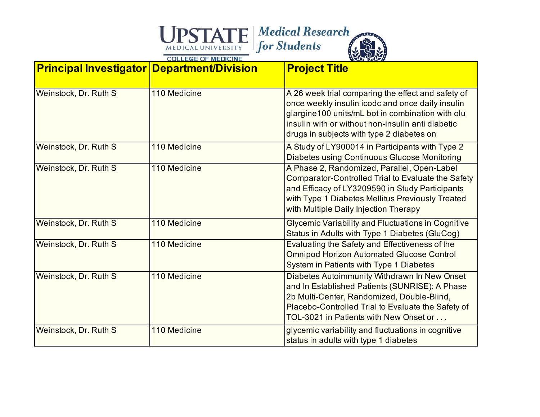| <b>Principal Investigator Department/Division</b> |              | <b>Project Title</b>                                                                                                                                                                                                                                         |
|---------------------------------------------------|--------------|--------------------------------------------------------------------------------------------------------------------------------------------------------------------------------------------------------------------------------------------------------------|
| Weinstock, Dr. Ruth S                             | 110 Medicine | A 26 week trial comparing the effect and safety of<br>once weekly insulin icodc and once daily insulin<br>glargine100 units/mL bot in combination with olu<br>insulin with or without non-insulin anti diabetic<br>drugs in subjects with type 2 diabetes on |
| Weinstock, Dr. Ruth S                             | 110 Medicine | A Study of LY900014 in Participants with Type 2<br><b>Diabetes using Continuous Glucose Monitoring</b>                                                                                                                                                       |
| Weinstock, Dr. Ruth S                             | 110 Medicine | A Phase 2, Randomized, Parallel, Open-Label<br>Comparator-Controlled Trial to Evaluate the Safety<br>and Efficacy of LY3209590 in Study Participants<br>with Type 1 Diabetes Mellitus Previously Treated<br>with Multiple Daily Injection Therapy            |
| Weinstock, Dr. Ruth S                             | 110 Medicine | <b>Glycemic Variability and Fluctuations in Cognitive</b><br>Status in Adults with Type 1 Diabetes (GluCog)                                                                                                                                                  |
| Weinstock, Dr. Ruth S                             | 110 Medicine | Evaluating the Safety and Effectiveness of the<br><b>Omnipod Horizon Automated Glucose Control</b><br>System in Patients with Type 1 Diabetes                                                                                                                |
| Weinstock, Dr. Ruth S                             | 110 Medicine | Diabetes Autoimmunity Withdrawn In New Onset<br>and In Established Patients (SUNRISE): A Phase<br>2b Multi-Center, Randomized, Double-Blind,<br>Placebo-Controlled Trial to Evaluate the Safety of<br>TOL-3021 in Patients with New Onset or                 |
| Weinstock, Dr. Ruth S                             | 110 Medicine | glycemic variability and fluctuations in cognitive<br>status in adults with type 1 diabetes                                                                                                                                                                  |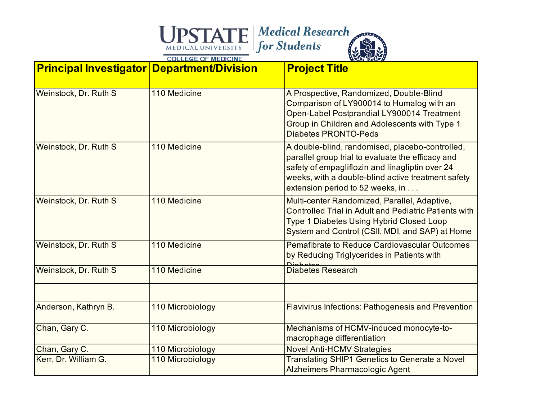| <b>Principal Investigator Department/Division</b> |                  | <b>Project Title</b>                                                                                                                                                                                                                              |
|---------------------------------------------------|------------------|---------------------------------------------------------------------------------------------------------------------------------------------------------------------------------------------------------------------------------------------------|
| Weinstock, Dr. Ruth S                             | 110 Medicine     | A Prospective, Randomized, Double-Blind<br>Comparison of LY900014 to Humalog with an<br>Open-Label Postprandial LY900014 Treatment<br>Group in Children and Adolescents with Type 1<br><b>Diabetes PRONTO-Peds</b>                                |
| Weinstock, Dr. Ruth S                             | 110 Medicine     | A double-blind, randomised, placebo-controlled,<br>parallel group trial to evaluate the efficacy and<br>safety of empagliflozin and linagliptin over 24<br>weeks, with a double-blind active treatment safety<br>extension period to 52 weeks, in |
| Weinstock, Dr. Ruth S                             | 110 Medicine     | Multi-center Randomized, Parallel, Adaptive,<br><b>Controlled Trial in Adult and Pediatric Patients with</b><br><b>Type 1 Diabetes Using Hybrid Closed Loop</b><br>System and Control (CSII, MDI, and SAP) at Home                                |
| Weinstock, Dr. Ruth S                             | 110 Medicine     | <b>Pemafibrate to Reduce Cardiovascular Outcomes</b><br>by Reducing Triglycerides in Patients with                                                                                                                                                |
| Weinstock, Dr. Ruth S                             | 110 Medicine     | <b>Diabetes Research</b>                                                                                                                                                                                                                          |
| Anderson, Kathryn B.                              | 110 Microbiology | Flavivirus Infections: Pathogenesis and Prevention                                                                                                                                                                                                |
| Chan, Gary C.                                     | 110 Microbiology | Mechanisms of HCMV-induced monocyte-to-<br>macrophage differentiation                                                                                                                                                                             |
| Chan, Gary C.                                     | 110 Microbiology | <b>Novel Anti-HCMV Strategies</b>                                                                                                                                                                                                                 |
| Kerr, Dr. William G.                              | 110 Microbiology | Translating SHIP1 Genetics to Generate a Novel<br><b>Alzheimers Pharmacologic Agent</b>                                                                                                                                                           |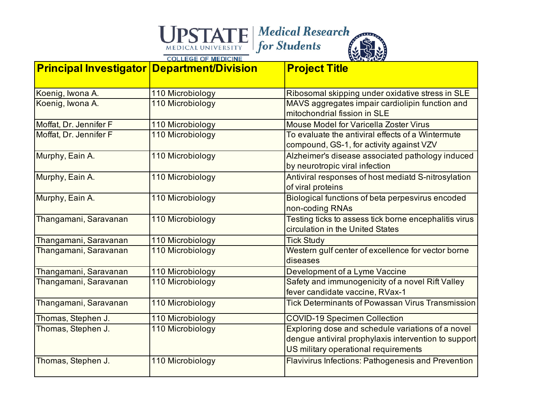

| <b>Principal Investigator Department/Division</b> |                  | <b>Project Title</b>                                                                                                                              |
|---------------------------------------------------|------------------|---------------------------------------------------------------------------------------------------------------------------------------------------|
| Koenig, Iwona A.                                  | 110 Microbiology | Ribosomal skipping under oxidative stress in SLE                                                                                                  |
| Koenig, Iwona A.                                  | 110 Microbiology | MAVS aggregates impair cardiolipin function and<br>mitochondrial fission in SLE                                                                   |
| Moffat, Dr. Jennifer F                            | 110 Microbiology | <b>Mouse Model for Varicella Zoster Virus</b>                                                                                                     |
| Moffat, Dr. Jennifer F                            | 110 Microbiology | To evaluate the antiviral effects of a Wintermute<br>compound, GS-1, for activity against VZV                                                     |
| Murphy, Eain A.                                   | 110 Microbiology | Alzheimer's disease associated pathology induced<br>by neurotropic viral infection                                                                |
| Murphy, Eain A.                                   | 110 Microbiology | Antiviral responses of host mediatd S-nitrosylation<br>of viral proteins                                                                          |
| Murphy, Eain A.                                   | 110 Microbiology | Biological functions of beta perpesvirus encoded<br>non-coding RNAs                                                                               |
| Thangamani, Saravanan                             | 110 Microbiology | Testing ticks to assess tick borne encephalitis virus<br>circulation in the United States                                                         |
| Thangamani, Saravanan                             | 110 Microbiology | <b>Tick Study</b>                                                                                                                                 |
| Thangamani, Saravanan                             | 110 Microbiology | Western gulf center of excellence for vector borne<br>diseases                                                                                    |
| Thangamani, Saravanan                             | 110 Microbiology | Development of a Lyme Vaccine                                                                                                                     |
| Thangamani, Saravanan                             | 110 Microbiology | Safety and immunogenicity of a novel Rift Valley<br>fever candidate vaccine, RVax-1                                                               |
| Thangamani, Saravanan                             | 110 Microbiology | Tick Determinants of Powassan Virus Transmission                                                                                                  |
| Thomas, Stephen J.                                | 110 Microbiology | <b>COVID-19 Specimen Collection</b>                                                                                                               |
| Thomas, Stephen J.                                | 110 Microbiology | Exploring dose and schedule variations of a novel<br>dengue antiviral prophylaxis intervention to support<br>US military operational requirements |
| Thomas, Stephen J.                                | 110 Microbiology | <b>Flavivirus Infections: Pathogenesis and Prevention</b>                                                                                         |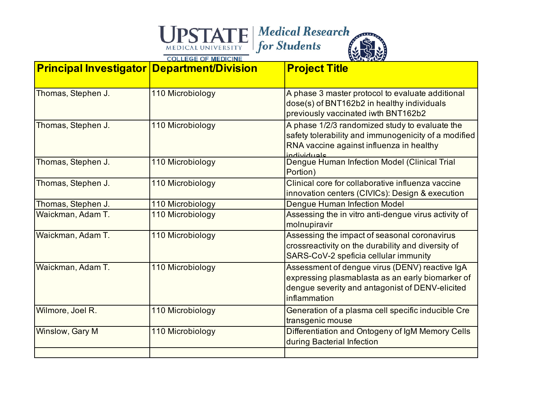| <b>Principal Investigator Department/Division</b> |                  | <b>Project Title</b>                                                                                                                                                  |
|---------------------------------------------------|------------------|-----------------------------------------------------------------------------------------------------------------------------------------------------------------------|
| Thomas, Stephen J.                                | 110 Microbiology | A phase 3 master protocol to evaluate additional<br>dose(s) of BNT162b2 in healthy individuals<br>previously vaccinated iwth BNT162b2                                 |
| Thomas, Stephen J.                                | 110 Microbiology | A phase 1/2/3 randomized study to evaluate the<br>safety tolerability and immunogenicity of a modified<br>RNA vaccine against influenza in healthy<br>individuale     |
| Thomas, Stephen J.                                | 110 Microbiology | Dengue Human Infection Model (Clinical Trial<br>Portion)                                                                                                              |
| Thomas, Stephen J.                                | 110 Microbiology | Clinical core for collaborative influenza vaccine<br>innovation centers (CIVICs): Design & execution                                                                  |
| Thomas, Stephen J.                                | 110 Microbiology | <b>Dengue Human Infection Model</b>                                                                                                                                   |
| Waickman, Adam T.                                 | 110 Microbiology | Assessing the in vitro anti-dengue virus activity of<br>molnupiravir                                                                                                  |
| Waickman, Adam T.                                 | 110 Microbiology | Assessing the impact of seasonal coronavirus<br>crossreactivity on the durability and diversity of<br>SARS-CoV-2 speficia cellular immunity                           |
| Waickman, Adam T.                                 | 110 Microbiology | Assessment of dengue virus (DENV) reactive IgA<br>expressing plasmablasta as an early biomarker of<br>dengue severity and antagonist of DENV-elicited<br>inflammation |
| Wilmore, Joel R.                                  | 110 Microbiology | Generation of a plasma cell specific inducible Cre<br>transgenic mouse                                                                                                |
| Winslow, Gary M                                   | 110 Microbiology | Differentiation and Ontogeny of IgM Memory Cells<br>during Bacterial Infection                                                                                        |
|                                                   |                  |                                                                                                                                                                       |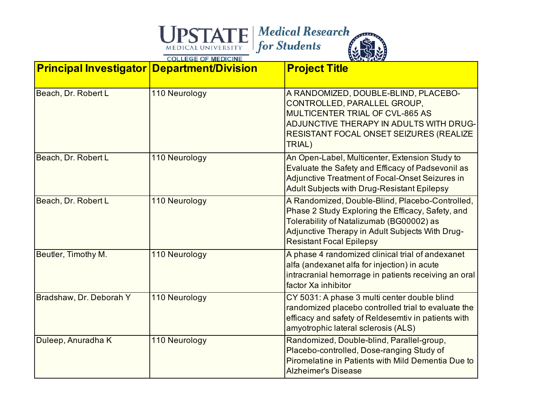| <b>Principal Investigator Department/Division</b> |               | <b>Project Title</b>                                                                                                                                                                                                                   |
|---------------------------------------------------|---------------|----------------------------------------------------------------------------------------------------------------------------------------------------------------------------------------------------------------------------------------|
| Beach, Dr. Robert L                               | 110 Neurology | A RANDOMIZED, DOUBLE-BLIND, PLACEBO-<br>CONTROLLED, PARALLEL GROUP,<br>MULTICENTER TRIAL OF CVL-865 AS<br>ADJUNCTIVE THERAPY IN ADULTS WITH DRUG-<br>RESISTANT FOCAL ONSET SEIZURES (REALIZE<br>TRIAL)                                 |
| Beach, Dr. Robert L                               | 110 Neurology | An Open-Label, Multicenter, Extension Study to<br>Evaluate the Safety and Efficacy of Padsevonil as<br>Adjunctive Treatment of Focal-Onset Seizures in<br><b>Adult Subjects with Drug-Resistant Epilepsy</b>                           |
| Beach, Dr. Robert L                               | 110 Neurology | A Randomized, Double-Blind, Placebo-Controlled,<br>Phase 2 Study Exploring the Efficacy, Safety, and<br>Tolerability of Natalizumab (BG00002) as<br>Adjunctive Therapy in Adult Subjects With Drug-<br><b>Resistant Focal Epilepsy</b> |
| Beutler, Timothy M.                               | 110 Neurology | A phase 4 randomized clinical trial of andexanet<br>alfa (andexanet alfa for injection) in acute<br>intracranial hemorrage in patients receiving an oral<br>factor Xa inhibitor                                                        |
| Bradshaw, Dr. Deborah Y                           | 110 Neurology | CY 5031: A phase 3 multi center double blind<br>randomized placebo controlled trial to evaluate the<br>efficacy and safety of Reldesemtiv in patients with<br>amyotrophic lateral sclerosis (ALS)                                      |
| Duleep, Anuradha K                                | 110 Neurology | Randomized, Double-blind, Parallel-group,<br>Placebo-controlled, Dose-ranging Study of<br>Piromelatine in Patients with Mild Dementia Due to<br><b>Alzheimer's Disease</b>                                                             |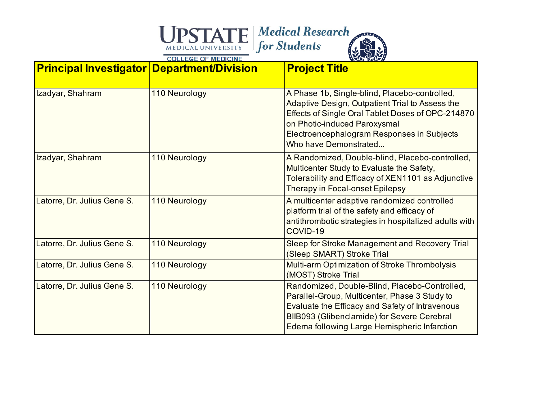| <b>Principal Investigator Department/Division</b> |               | <b>Project Title</b>                                                                                                                                                                                                                                         |
|---------------------------------------------------|---------------|--------------------------------------------------------------------------------------------------------------------------------------------------------------------------------------------------------------------------------------------------------------|
| Izadyar, Shahram                                  | 110 Neurology | A Phase 1b, Single-blind, Placebo-controlled,<br>Adaptive Design, Outpatient Trial to Assess the<br>Effects of Single Oral Tablet Doses of OPC-214870<br>on Photic-induced Paroxysmal<br>Electroencephalogram Responses in Subjects<br>Who have Demonstrated |
| Izadyar, Shahram                                  | 110 Neurology | A Randomized, Double-blind, Placebo-controlled,<br>Multicenter Study to Evaluate the Safety,<br>Tolerability and Efficacy of XEN1101 as Adjunctive<br>Therapy in Focal-onset Epilepsy                                                                        |
| Latorre, Dr. Julius Gene S.                       | 110 Neurology | A multicenter adaptive randomized controlled<br>platform trial of the safety and efficacy of<br>antithrombotic strategies in hospitalized adults with<br>COVID-19                                                                                            |
| Latorre, Dr. Julius Gene S.                       | 110 Neurology | Sleep for Stroke Management and Recovery Trial<br>(Sleep SMART) Stroke Trial                                                                                                                                                                                 |
| Latorre, Dr. Julius Gene S.                       | 110 Neurology | Multi-arm Optimization of Stroke Thrombolysis<br>(MOST) Stroke Trial                                                                                                                                                                                         |
| Latorre, Dr. Julius Gene S.                       | 110 Neurology | Randomized, Double-Blind, Placebo-Controlled,<br>Parallel-Group, Multicenter, Phase 3 Study to<br>Evaluate the Efficacy and Safety of Intravenous<br>BIIB093 (Glibenclamide) for Severe Cerebral<br>Edema following Large Hemispheric Infarction             |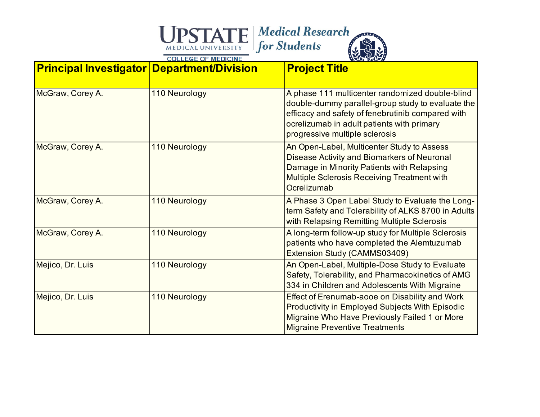| <b>Principal Investigator Department/Division</b> |               | <b>Project Title</b>                                                                                                                                                                                                                      |
|---------------------------------------------------|---------------|-------------------------------------------------------------------------------------------------------------------------------------------------------------------------------------------------------------------------------------------|
| McGraw, Corey A.                                  | 110 Neurology | A phase 111 multicenter randomized double-blind<br>double-dummy parallel-group study to evaluate the<br>efficacy and safety of fenebrutinib compared with<br>ocrelizumab in adult patients with primary<br>progressive multiple sclerosis |
| McGraw, Corey A.                                  | 110 Neurology | An Open-Label, Multicenter Study to Assess<br>Disease Activity and Biomarkers of Neuronal<br>Damage in Minority Patients with Relapsing<br><b>Multiple Sclerosis Receiving Treatment with</b><br>Ocrelizumab                              |
| McGraw, Corey A.                                  | 110 Neurology | A Phase 3 Open Label Study to Evaluate the Long-<br>term Safety and Tolerability of ALKS 8700 in Adults<br>with Relapsing Remitting Multiple Sclerosis                                                                                    |
| McGraw, Corey A.                                  | 110 Neurology | A long-term follow-up study for Multiple Sclerosis<br>patients who have completed the Alemtuzumab<br>Extension Study (CAMMS03409)                                                                                                         |
| Mejico, Dr. Luis                                  | 110 Neurology | An Open-Label, Multiple-Dose Study to Evaluate<br>Safety, Tolerability, and Pharmacokinetics of AMG<br>334 in Children and Adolescents With Migraine                                                                                      |
| Mejico, Dr. Luis                                  | 110 Neurology | Effect of Erenumab-aooe on Disability and Work<br>Productivity in Employed Subjects With Episodic<br>Migraine Who Have Previously Failed 1 or More<br><b>Migraine Preventive Treatments</b>                                               |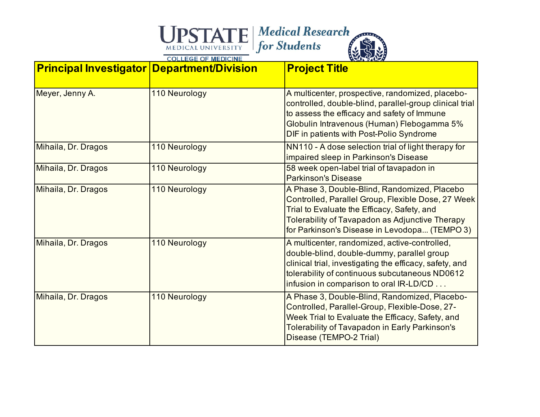| <b>Principal Investigator Department/Division</b> |               | <b>Project Title</b>                                                                                                                                                                                                                                  |
|---------------------------------------------------|---------------|-------------------------------------------------------------------------------------------------------------------------------------------------------------------------------------------------------------------------------------------------------|
| Meyer, Jenny A.                                   | 110 Neurology | A multicenter, prospective, randomized, placebo-<br>controlled, double-blind, parallel-group clinical trial<br>to assess the efficacy and safety of Immune<br>Globulin Intravenous (Human) Flebogamma 5%<br>DIF in patients with Post-Polio Syndrome  |
| Mihaila, Dr. Dragos                               | 110 Neurology | NN110 - A dose selection trial of light therapy for<br>impaired sleep in Parkinson's Disease                                                                                                                                                          |
| Mihaila, Dr. Dragos                               | 110 Neurology | 58 week open-label trial of tavapadon in<br><b>Parkinson's Disease</b>                                                                                                                                                                                |
| Mihaila, Dr. Dragos                               | 110 Neurology | A Phase 3, Double-Blind, Randomized, Placebo<br>Controlled, Parallel Group, Flexible Dose, 27 Week<br>Trial to Evaluate the Efficacy, Safety, and<br>Tolerability of Tavapadon as Adjunctive Therapy<br>for Parkinson's Disease in Levodopa (TEMPO 3) |
| Mihaila, Dr. Dragos                               | 110 Neurology | A multicenter, randomized, active-controlled,<br>double-blind, double-dummy, parallel group<br>clinical trial, investigating the efficacy, safety, and<br>tolerability of continuous subcutaneous ND0612<br>infusion in comparison to oral IR-LD/CD   |
| Mihaila, Dr. Dragos                               | 110 Neurology | A Phase 3, Double-Blind, Randomized, Placebo-<br>Controlled, Parallel-Group, Flexible-Dose, 27-<br>Week Trial to Evaluate the Efficacy, Safety, and<br><b>Tolerability of Tavapadon in Early Parkinson's</b><br>Disease (TEMPO-2 Trial)               |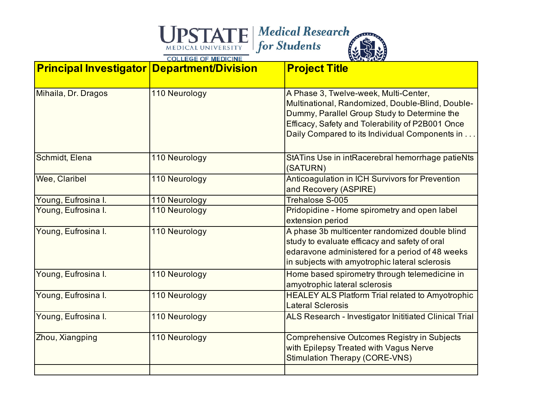| <b>Principal Investigator Department/Division</b> |               | <b>Project Title</b>                                                                                                                                                                                                                            |
|---------------------------------------------------|---------------|-------------------------------------------------------------------------------------------------------------------------------------------------------------------------------------------------------------------------------------------------|
| Mihaila, Dr. Dragos                               | 110 Neurology | A Phase 3, Twelve-week, Multi-Center,<br>Multinational, Randomized, Double-Blind, Double-<br>Dummy, Parallel Group Study to Determine the<br>Efficacy, Safety and Tolerability of P2B001 Once<br>Daily Compared to its Individual Components in |
| Schmidt, Elena                                    | 110 Neurology | StATins Use in intRacerebral hemorrhage patieNts<br>(SATURN)                                                                                                                                                                                    |
| Wee, Claribel                                     | 110 Neurology | Anticoagulation in ICH Survivors for Prevention<br>and Recovery (ASPIRE)                                                                                                                                                                        |
| Young, Eufrosina I.                               | 110 Neurology | <b>Trehalose S-005</b>                                                                                                                                                                                                                          |
| Young, Eufrosina I.                               | 110 Neurology | Pridopidine - Home spirometry and open label<br>extension period                                                                                                                                                                                |
| Young, Eufrosina I.                               | 110 Neurology | A phase 3b multicenter randomized double blind<br>study to evaluate efficacy and safety of oral<br>edaravone administered for a period of 48 weeks<br>in subjects with amyotrophic lateral sclerosis                                            |
| Young, Eufrosina I.                               | 110 Neurology | Home based spirometry through telemedicine in<br>amyotrophic lateral sclerosis                                                                                                                                                                  |
| Young, Eufrosina I.                               | 110 Neurology | <b>HEALEY ALS Platform Trial related to Amyotrophic</b><br><b>Lateral Sclerosis</b>                                                                                                                                                             |
| Young, Eufrosina I.                               | 110 Neurology | ALS Research - Investigator Inititiated Clinical Trial                                                                                                                                                                                          |
| Zhou, Xiangping                                   | 110 Neurology | <b>Comprehensive Outcomes Registry in Subjects</b><br>with Epilepsy Treated with Vagus Nerve<br><b>Stimulation Therapy (CORE-VNS)</b>                                                                                                           |
|                                                   |               |                                                                                                                                                                                                                                                 |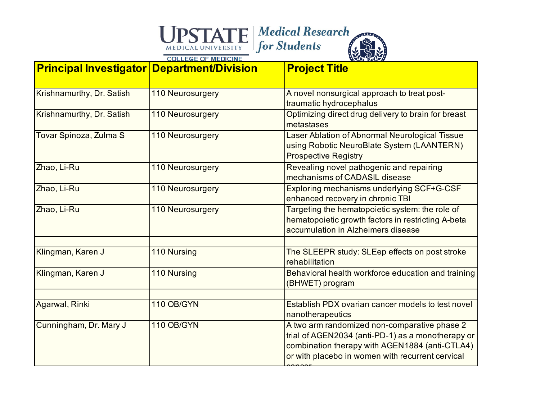| <b>Principal Investigator Department/Division</b> |                  | <b>Project Title</b>                                                                                                                                                                                    |
|---------------------------------------------------|------------------|---------------------------------------------------------------------------------------------------------------------------------------------------------------------------------------------------------|
| Krishnamurthy, Dr. Satish                         | 110 Neurosurgery | A novel nonsurgical approach to treat post-<br>traumatic hydrocephalus                                                                                                                                  |
| Krishnamurthy, Dr. Satish                         | 110 Neurosurgery | Optimizing direct drug delivery to brain for breast<br>metastases                                                                                                                                       |
| Tovar Spinoza, Zulma S                            | 110 Neurosurgery | Laser Ablation of Abnormal Neurological Tissue<br>using Robotic NeuroBlate System (LAANTERN)<br><b>Prospective Registry</b>                                                                             |
| Zhao, Li-Ru                                       | 110 Neurosurgery | Revealing novel pathogenic and repairing<br>mechanisms of CADASIL disease                                                                                                                               |
| Zhao, Li-Ru                                       | 110 Neurosurgery | Exploring mechanisms underlying SCF+G-CSF<br>enhanced recovery in chronic TBI                                                                                                                           |
| Zhao, Li-Ru                                       | 110 Neurosurgery | Targeting the hematopoietic system: the role of<br>hematopoietic growth factors in restricting A-beta<br>accumulation in Alzheimers disease                                                             |
| Klingman, Karen J                                 | 110 Nursing      | The SLEEPR study: SLEep effects on post stroke                                                                                                                                                          |
| Klingman, Karen J                                 | 110 Nursing      | rehabilitation<br>Behavioral health workforce education and training<br>(BHWET) program                                                                                                                 |
| Agarwal, Rinki                                    | 110 OB/GYN       | Establish PDX ovarian cancer models to test novel<br>nanotherapeutics                                                                                                                                   |
| Cunningham, Dr. Mary J                            | 110 OB/GYN       | A two arm randomized non-comparative phase 2<br>trial of AGEN2034 (anti-PD-1) as a monotherapy or<br>combination therapy with AGEN1884 (anti-CTLA4)<br>or with placebo in women with recurrent cervical |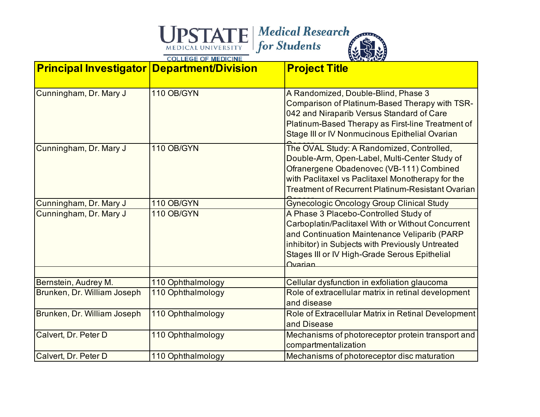| <b>Principal Investigator Department/Division</b>   |                                        | <b>Project Title</b>                                                                                                                                                                                                                                       |
|-----------------------------------------------------|----------------------------------------|------------------------------------------------------------------------------------------------------------------------------------------------------------------------------------------------------------------------------------------------------------|
| Cunningham, Dr. Mary J                              | 110 OB/GYN                             | A Randomized, Double-Blind, Phase 3<br>Comparison of Platinum-Based Therapy with TSR-<br>042 and Niraparib Versus Standard of Care<br>Platinum-Based Therapy as First-line Treatment of<br>Stage III or IV Nonmucinous Epithelial Ovarian                  |
| Cunningham, Dr. Mary J                              | 110 OB/GYN                             | The OVAL Study: A Randomized, Controlled,<br>Double-Arm, Open-Label, Multi-Center Study of<br>Ofranergene Obadenovec (VB-111) Combined<br>with Paclitaxel vs Paclitaxel Monotherapy for the<br>Treatment of Recurrent Platinum-Resistant Ovarian           |
| Cunningham, Dr. Mary J                              | 110 OB/GYN                             | <b>Gynecologic Oncology Group Clinical Study</b>                                                                                                                                                                                                           |
| Cunningham, Dr. Mary J                              | 110 OB/GYN                             | A Phase 3 Placebo-Controlled Study of<br>Carboplatin/Paclitaxel With or Without Concurrent<br>and Continuation Maintenance Veliparib (PARP<br>inhibitor) in Subjects with Previously Untreated<br>Stages III or IV High-Grade Serous Epithelial<br>Ovarian |
|                                                     |                                        |                                                                                                                                                                                                                                                            |
| Bernstein, Audrey M.<br>Brunken, Dr. William Joseph | 110 Ophthalmology<br>110 Ophthalmology | Cellular dysfunction in exfoliation glaucoma<br>Role of extracellular matrix in retinal development<br>and disease                                                                                                                                         |
| Brunken, Dr. William Joseph                         | 110 Ophthalmology                      | Role of Extracellular Matrix in Retinal Development<br>and Disease                                                                                                                                                                                         |
| Calvert, Dr. Peter D                                | 110 Ophthalmology                      | Mechanisms of photoreceptor protein transport and<br>compartmentalization                                                                                                                                                                                  |
| Calvert, Dr. Peter D                                | 110 Ophthalmology                      | Mechanisms of photoreceptor disc maturation                                                                                                                                                                                                                |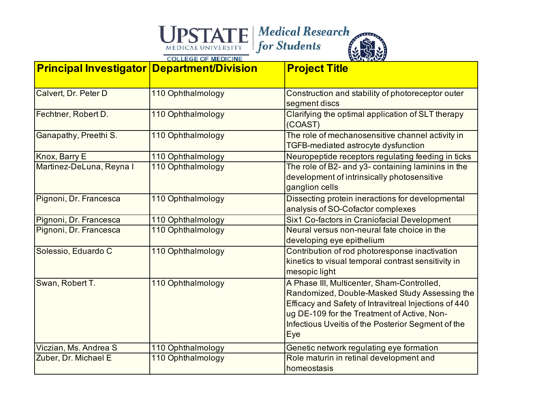| <b>Principal Investigator Department/Division</b> |                   | <b>Project Title</b>                                                                                                                                                                                                                                             |
|---------------------------------------------------|-------------------|------------------------------------------------------------------------------------------------------------------------------------------------------------------------------------------------------------------------------------------------------------------|
| Calvert, Dr. Peter D                              | 110 Ophthalmology | Construction and stability of photoreceptor outer<br>segment discs                                                                                                                                                                                               |
| Fechtner, Robert D.                               | 110 Ophthalmology | Clarifying the optimal application of SLT therapy<br>(COAST)                                                                                                                                                                                                     |
| Ganapathy, Preethi S.                             | 110 Ophthalmology | The role of mechanosensitive channel activity in<br>TGFB-mediated astrocyte dysfunction                                                                                                                                                                          |
| Knox, Barry E                                     | 110 Ophthalmology | Neuropeptide receptors regulating feeding in ticks                                                                                                                                                                                                               |
| Martinez-DeLuna, Reyna I                          | 110 Ophthalmology | The role of B2- and y3- containing laminins in the<br>development of intrinsically photosensitive<br>ganglion cells                                                                                                                                              |
| Pignoni, Dr. Francesca                            | 110 Ophthalmology | Dissecting protein ineractions for developmental<br>analysis of SO-Cofactor complexes                                                                                                                                                                            |
| Pignoni, Dr. Francesca                            | 110 Ophthalmology | Six1 Co-factors in Craniofacial Development                                                                                                                                                                                                                      |
| Pignoni, Dr. Francesca                            | 110 Ophthalmology | Neural versus non-neural fate choice in the<br>developing eye epithelium                                                                                                                                                                                         |
| Solessio, Eduardo C                               | 110 Ophthalmology | Contribution of rod photoresponse inactivation<br>kinetics to visual temporal contrast sensitivity in<br>mesopic light                                                                                                                                           |
| Swan, Robert T.                                   | 110 Ophthalmology | A Phase III, Multicenter, Sham-Controlled,<br>Randomized, Double-Masked Study Assessing the<br>Efficacy and Safety of Intravitreal Injections of 440<br>ug DE-109 for the Treatment of Active, Non-<br>Infectious Uveitis of the Posterior Segment of the<br>Eye |
| Viczian, Ms. Andrea S                             | 110 Ophthalmology | Genetic network regulating eye formation                                                                                                                                                                                                                         |
| Zuber, Dr. Michael E                              | 110 Ophthalmology | Role maturin in retinal development and<br>homeostasis                                                                                                                                                                                                           |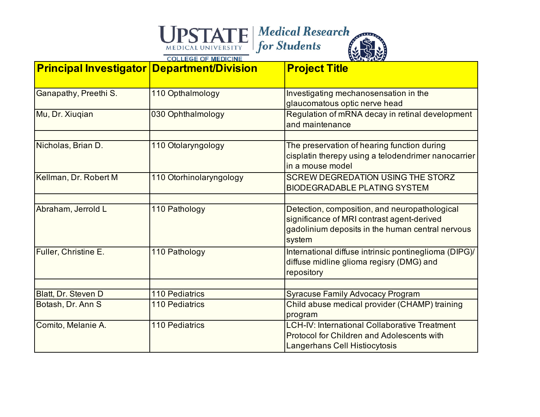| <b>Principal Investigator Department/Division</b> |                         | <b>Project Title</b>                                                                                                                                      |
|---------------------------------------------------|-------------------------|-----------------------------------------------------------------------------------------------------------------------------------------------------------|
| Ganapathy, Preethi S.                             | 110 Opthalmology        | Investigating mechanosensation in the<br>glaucomatous optic nerve head                                                                                    |
| Mu, Dr. Xiuqian                                   | 030 Ophthalmology       | Regulation of mRNA decay in retinal development<br>and maintenance                                                                                        |
| Nicholas, Brian D.                                | 110 Otolaryngology      | The preservation of hearing function during<br>cisplatin therepy using a telodendrimer nanocarrier<br>in a mouse model                                    |
| Kellman, Dr. Robert M                             | 110 Otorhinolaryngology | SCREW DEGREDATION USING THE STORZ<br><b>BIODEGRADABLE PLATING SYSTEM</b>                                                                                  |
| Abraham, Jerrold L                                | 110 Pathology           | Detection, composition, and neuropathological<br>significance of MRI contrast agent-derived<br>gadolinium deposits in the human central nervous<br>system |
| Fuller, Christine E.                              | 110 Pathology           | International diffuse intrinsic pontineglioma (DIPG)/<br>diffuse midline glioma regisry (DMG) and<br>repository                                           |
| Blatt, Dr. Steven D                               | <b>110 Pediatrics</b>   | <b>Syracuse Family Advocacy Program</b>                                                                                                                   |
| Botash, Dr. Ann S                                 | <b>110 Pediatrics</b>   | Child abuse medical provider (CHAMP) training<br>program                                                                                                  |
| Comito, Melanie A.                                | <b>110 Pediatrics</b>   | <b>LCH-IV: International Collaborative Treatment</b><br><b>Protocol for Children and Adolescents with</b><br>Langerhans Cell Histiocytosis                |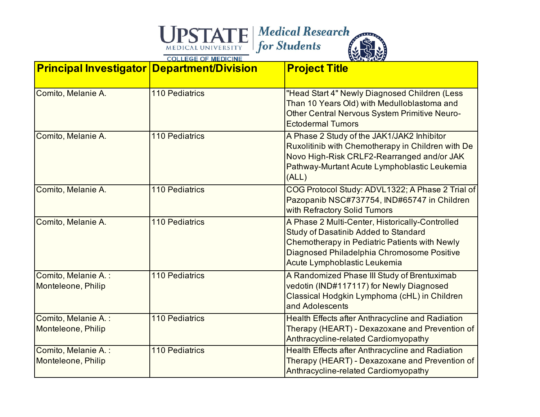| <b>Principal Investigator Department/Division</b> |                       | <b>Project Title</b>                                                                                                                                                                                                          |
|---------------------------------------------------|-----------------------|-------------------------------------------------------------------------------------------------------------------------------------------------------------------------------------------------------------------------------|
| Comito, Melanie A.                                | <b>110 Pediatrics</b> | "Head Start 4" Newly Diagnosed Children (Less<br>Than 10 Years Old) with Medulloblastoma and<br><b>Other Central Nervous System Primitive Neuro-</b><br><b>Ectodermal Tumors</b>                                              |
| Comito, Melanie A.                                | <b>110 Pediatrics</b> | A Phase 2 Study of the JAK1/JAK2 Inhibitor<br>Ruxolitinib with Chemotherapy in Children with De<br>Novo High-Risk CRLF2-Rearranged and/or JAK<br>Pathway-Murtant Acute Lymphoblastic Leukemia<br>(ALL)                        |
| Comito, Melanie A.                                | <b>110 Pediatrics</b> | COG Protocol Study: ADVL1322; A Phase 2 Trial of<br>Pazopanib NSC#737754, IND#65747 in Children<br>with Refractory Solid Tumors                                                                                               |
| Comito, Melanie A.                                | <b>110 Pediatrics</b> | A Phase 2 Multi-Center, Historically-Controlled<br><b>Study of Dasatinib Added to Standard</b><br>Chemotherapy in Pediatric Patients with Newly<br>Diagnosed Philadelphia Chromosome Positive<br>Acute Lymphoblastic Leukemia |
| Comito, Melanie A.:<br>Monteleone, Philip         | <b>110 Pediatrics</b> | A Randomized Phase III Study of Brentuximab<br>vedotin (IND#117117) for Newly Diagnosed<br>Classical Hodgkin Lymphoma (cHL) in Children<br>and Adolescents                                                                    |
| Comito, Melanie A.:<br>Monteleone, Philip         | <b>110 Pediatrics</b> | Health Effects after Anthracycline and Radiation<br>Therapy (HEART) - Dexazoxane and Prevention of<br>Anthracycline-related Cardiomyopathy                                                                                    |
| Comito, Melanie A.:<br>Monteleone, Philip         | <b>110 Pediatrics</b> | Health Effects after Anthracycline and Radiation<br>Therapy (HEART) - Dexazoxane and Prevention of<br>Anthracycline-related Cardiomyopathy                                                                                    |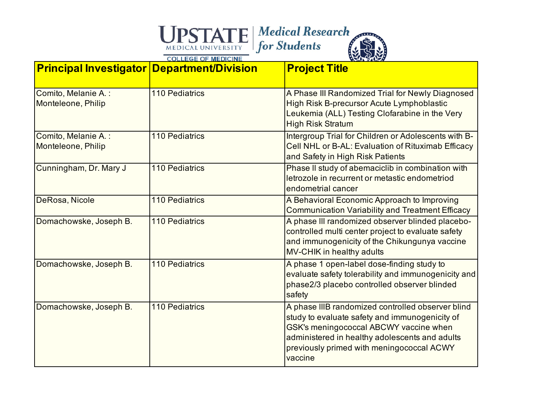| <b>Principal Investigator Department/Division</b> |                       | <b>Project Title</b>                                                                                                                                                                                                                                    |
|---------------------------------------------------|-----------------------|---------------------------------------------------------------------------------------------------------------------------------------------------------------------------------------------------------------------------------------------------------|
| Comito, Melanie A.:<br>Monteleone, Philip         | 110 Pediatrics        | A Phase III Randomized Trial for Newly Diagnosed<br>High Risk B-precursor Acute Lymphoblastic<br>Leukemia (ALL) Testing Clofarabine in the Very<br><b>High Risk Stratum</b>                                                                             |
| Comito, Melanie A.:<br>Monteleone, Philip         | <b>110 Pediatrics</b> | Intergroup Trial for Children or Adolescents with B-<br>Cell NHL or B-AL: Evaluation of Rituximab Efficacy<br>and Safety in High Risk Patients                                                                                                          |
| Cunningham, Dr. Mary J                            | <b>110 Pediatrics</b> | Phase II study of abemaciclib in combination with<br>letrozole in recurrent or metastic endometriod<br>endometrial cancer                                                                                                                               |
| DeRosa, Nicole                                    | <b>110 Pediatrics</b> | A Behavioral Economic Approach to Improving<br><b>Communication Variability and Treatment Efficacy</b>                                                                                                                                                  |
| Domachowske, Joseph B.                            | <b>110 Pediatrics</b> | A phase III randomized observer blinded placebo-<br>controlled multi center project to evaluate safety<br>and immunogenicity of the Chikungunya vaccine<br>MV-CHIK in healthy adults                                                                    |
| Domachowske, Joseph B.                            | <b>110 Pediatrics</b> | A phase 1 open-label dose-finding study to<br>evaluate safety tolerability and immunogenicity and<br>phase2/3 placebo controlled observer blinded<br>safety                                                                                             |
| Domachowske, Joseph B.                            | 110 Pediatrics        | A phase IIIB randomized controlled observer blind<br>study to evaluate safety and immunogenicity of<br>GSK's meningococcal ABCWY vaccine when<br>administered in healthy adolescents and adults<br>previously primed with meningococcal ACWY<br>vaccine |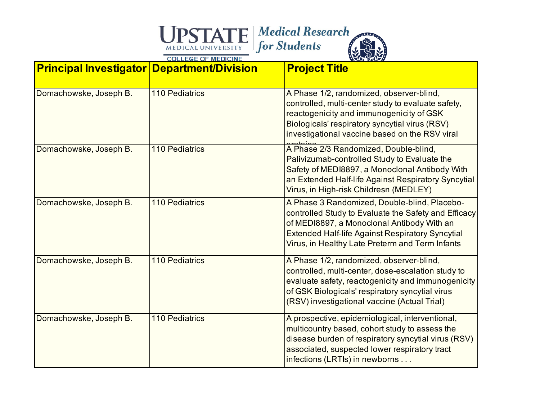| <b>Principal Investigator Department/Division</b> |                       | <b>Project Title</b>                                                                                                                                                                                                                                             |
|---------------------------------------------------|-----------------------|------------------------------------------------------------------------------------------------------------------------------------------------------------------------------------------------------------------------------------------------------------------|
| Domachowske, Joseph B.                            | 110 Pediatrics        | A Phase 1/2, randomized, observer-blind,<br>controlled, multi-center study to evaluate safety,<br>reactogenicity and immunogenicity of GSK<br>Biologicals' respiratory syncytial virus (RSV)<br>investigational vaccine based on the RSV viral                   |
| Domachowske, Joseph B.                            | 110 Pediatrics        | A Phase 2/3 Randomized, Double-blind,<br>Palivizumab-controlled Study to Evaluate the<br>Safety of MEDI8897, a Monoclonal Antibody With<br>an Extended Half-life Against Respiratory Syncytial<br>Virus, in High-risk Childresn (MEDLEY)                         |
| Domachowske, Joseph B.                            | <b>110 Pediatrics</b> | A Phase 3 Randomized, Double-blind, Placebo-<br>controlled Study to Evaluate the Safety and Efficacy<br>of MEDI8897, a Monoclonal Antibody With an<br><b>Extended Half-life Against Respiratory Syncytial</b><br>Virus, in Healthy Late Preterm and Term Infants |
| Domachowske, Joseph B.                            | 110 Pediatrics        | A Phase 1/2, randomized, observer-blind,<br>controlled, multi-center, dose-escalation study to<br>evaluate safety, reactogenicity and immunogenicity<br>of GSK Biologicals' respiratory syncytial virus<br>(RSV) investigational vaccine (Actual Trial)          |
| Domachowske, Joseph B.                            | 110 Pediatrics        | A prospective, epidemiological, interventional,<br>multicountry based, cohort study to assess the<br>disease burden of respiratory syncytial virus (RSV)<br>associated, suspected lower respiratory tract<br>infections (LRTIs) in newborns                      |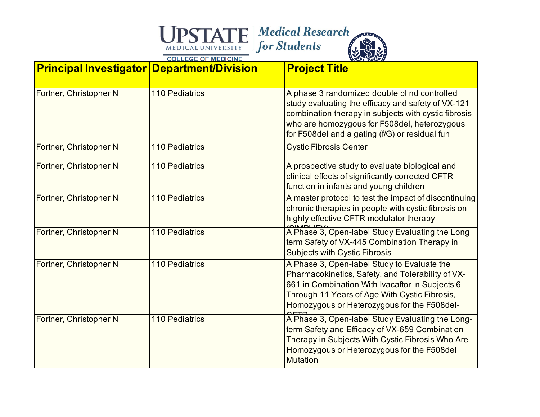| <b>Principal Investigator Department/Division</b> |                       | <b>Project Title</b>                                                                                                                                                                                                                                         |
|---------------------------------------------------|-----------------------|--------------------------------------------------------------------------------------------------------------------------------------------------------------------------------------------------------------------------------------------------------------|
| Fortner, Christopher N                            | <b>110 Pediatrics</b> | A phase 3 randomized double blind controlled<br>study evaluating the efficacy and safety of VX-121<br>combination therapy in subjects with cystic fibrosis<br>who are homozygous for F508del, heterozygous<br>for F508del and a gating (f/G) or residual fun |
| Fortner, Christopher N                            | <b>110 Pediatrics</b> | <b>Cystic Fibrosis Center</b>                                                                                                                                                                                                                                |
| Fortner, Christopher N                            | <b>110 Pediatrics</b> | A prospective study to evaluate biological and<br>clinical effects of significantly corrected CFTR<br>function in infants and young children                                                                                                                 |
| Fortner, Christopher N                            | <b>110 Pediatrics</b> | A master protocol to test the impact of discontinuing<br>chronic therapies in people with cystic fibrosis on<br>highly effective CFTR modulator therapy                                                                                                      |
| Fortner, Christopher N                            | <b>110 Pediatrics</b> | A Phase 3, Open-label Study Evaluating the Long<br>term Safety of VX-445 Combination Therapy in<br><b>Subjects with Cystic Fibrosis</b>                                                                                                                      |
| Fortner, Christopher N                            | <b>110 Pediatrics</b> | A Phase 3, Open-label Study to Evaluate the<br>Pharmacokinetics, Safety, and Tolerability of VX-<br>661 in Combination With Ivacaftor in Subjects 6<br>Through 11 Years of Age With Cystic Fibrosis,<br>Homozygous or Heterozygous for the F508del-          |
| Fortner, Christopher N                            | <b>110 Pediatrics</b> | A Phase 3, Open-label Study Evaluating the Long-<br>term Safety and Efficacy of VX-659 Combination<br>Therapy in Subjects With Cystic Fibrosis Who Are<br>Homozygous or Heterozygous for the F508del<br><b>Mutation</b>                                      |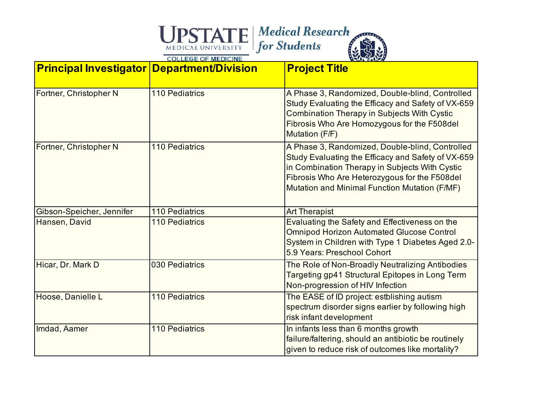| <b>Principal Investigator Department/Division</b> |                       | <b>Project Title</b>                                                                                                                                                                                                                                      |
|---------------------------------------------------|-----------------------|-----------------------------------------------------------------------------------------------------------------------------------------------------------------------------------------------------------------------------------------------------------|
| Fortner, Christopher N                            | <b>110 Pediatrics</b> | A Phase 3, Randomized, Double-blind, Controlled<br>Study Evaluating the Efficacy and Safety of VX-659<br><b>Combination Therapy in Subjects With Cystic</b><br>Fibrosis Who Are Homozygous for the F508del<br>Mutation (F/F)                              |
| Fortner, Christopher N                            | <b>110 Pediatrics</b> | A Phase 3, Randomized, Double-blind, Controlled<br>Study Evaluating the Efficacy and Safety of VX-659<br>in Combination Therapy in Subjects With Cystic<br>Fibrosis Who Are Heterozygous for the F508del<br>Mutation and Minimal Function Mutation (F/MF) |
| Gibson-Speicher, Jennifer                         | <b>110 Pediatrics</b> | <b>Art Therapist</b>                                                                                                                                                                                                                                      |
| Hansen, David                                     | <b>110 Pediatrics</b> | Evaluating the Safety and Effectiveness on the<br><b>Omnipod Horizon Automated Glucose Control</b><br>System in Children with Type 1 Diabetes Aged 2.0-<br>5.9 Years: Preschool Cohort                                                                    |
| Hicar, Dr. Mark D                                 | 030 Pediatrics        | The Role of Non-Broadly Neutralizing Antibodies<br>Targeting gp41 Structural Epitopes in Long Term<br>Non-progression of HIV Infection                                                                                                                    |
| Hoose, Danielle L                                 | <b>110 Pediatrics</b> | The EASE of ID project: estblishing autism<br>spectrum disorder signs earlier by following high<br>risk infant development                                                                                                                                |
| Imdad, Aamer                                      | <b>110 Pediatrics</b> | In infants less than 6 months growth<br>failure/faltering, should an antibiotic be routinely<br>given to reduce risk of outcomes like mortality?                                                                                                          |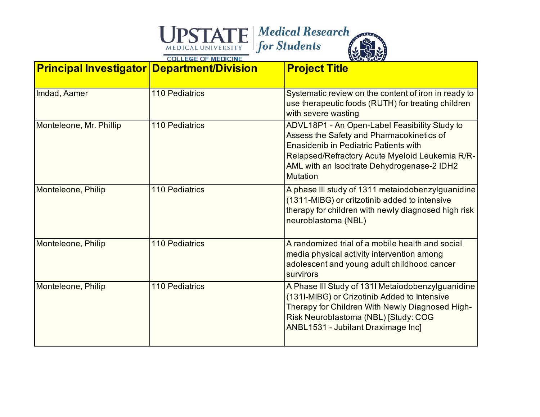| <b>Principal Investigator Department/Division</b> |                       | <b>Project Title</b>                                                                                                                                                                                                                                            |
|---------------------------------------------------|-----------------------|-----------------------------------------------------------------------------------------------------------------------------------------------------------------------------------------------------------------------------------------------------------------|
| Imdad, Aamer                                      | <b>110 Pediatrics</b> | Systematic review on the content of iron in ready to<br>use therapeutic foods (RUTH) for treating children<br>with severe wasting                                                                                                                               |
| Monteleone, Mr. Phillip                           | <b>110 Pediatrics</b> | ADVL18P1 - An Open-Label Feasibility Study to<br>Assess the Safety and Pharmacokinetics of<br><b>Enasidenib in Pediatric Patients with</b><br>Relapsed/Refractory Acute Myeloid Leukemia R/R-<br>AML with an Isocitrate Dehydrogenase-2 IDH2<br><b>Mutation</b> |
| Monteleone, Philip                                | <b>110 Pediatrics</b> | A phase III study of 1311 metaiodobenzylguanidine<br>(1311-MIBG) or critzotinib added to intensive<br>therapy for children with newly diagnosed high risk<br>neuroblastoma (NBL)                                                                                |
| Monteleone, Philip                                | <b>110 Pediatrics</b> | A randomized trial of a mobile health and social<br>media physical activity intervention among<br>adolescent and young adult childhood cancer<br>survirors                                                                                                      |
| Monteleone, Philip                                | <b>110 Pediatrics</b> | A Phase III Study of 131I Metaiodobenzylguanidine<br>(131I-MIBG) or Crizotinib Added to Intensive<br>Therapy for Children With Newly Diagnosed High-<br>Risk Neuroblastoma (NBL) [Study: COG<br>ANBL1531 - Jubilant Draximage Inc]                              |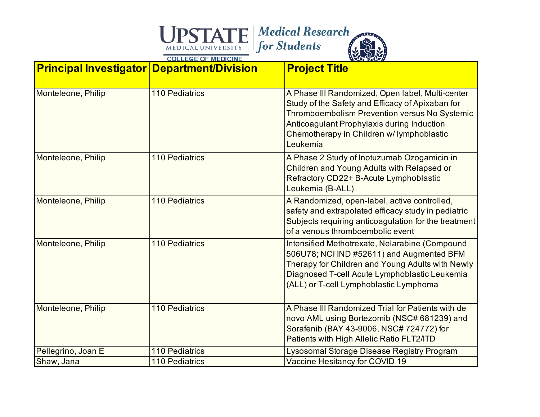| <b>Principal Investigator Department/Division</b> |                       | <b>Project Title</b>                                                                                                                                                                                                                                         |
|---------------------------------------------------|-----------------------|--------------------------------------------------------------------------------------------------------------------------------------------------------------------------------------------------------------------------------------------------------------|
| Monteleone, Philip                                | <b>110 Pediatrics</b> | A Phase III Randomized, Open label, Multi-center<br>Study of the Safety and Efficacy of Apixaban for<br>Thromboembolism Prevention versus No Systemic<br>Anticoagulant Prophylaxis during Induction<br>Chemotherapy in Children w/ lymphoblastic<br>Leukemia |
| Monteleone, Philip                                | <b>110 Pediatrics</b> | A Phase 2 Study of Inotuzumab Ozogamicin in<br>Children and Young Adults with Relapsed or<br>Refractory CD22+ B-Acute Lymphoblastic<br>Leukemia (B-ALL)                                                                                                      |
| Monteleone, Philip                                | <b>110 Pediatrics</b> | A Randomized, open-label, active controlled,<br>safety and extrapolated efficacy study in pediatric<br>Subjects requiring anticoagulation for the treatment<br>of a venous thromboembolic event                                                              |
| Monteleone, Philip                                | 110 Pediatrics        | Intensified Methotrexate, Nelarabine (Compound<br>506U78; NCI IND #52611) and Augmented BFM<br>Therapy for Children and Young Adults with Newly<br>Diagnosed T-cell Acute Lymphoblastic Leukemia<br>(ALL) or T-cell Lymphoblastic Lymphoma                   |
| Monteleone, Philip                                | <b>110 Pediatrics</b> | A Phase III Randomized Trial for Patients with de<br>novo AML using Bortezomib (NSC# 681239) and<br>Sorafenib (BAY 43-9006, NSC# 724772) for<br>Patients with High Allelic Ratio FLT2/ITD                                                                    |
| Pellegrino, Joan E                                | <b>110 Pediatrics</b> | Lysosomal Storage Disease Registry Program                                                                                                                                                                                                                   |
| Shaw, Jana                                        | 110 Pediatrics        | Vaccine Hesitancy for COVID 19                                                                                                                                                                                                                               |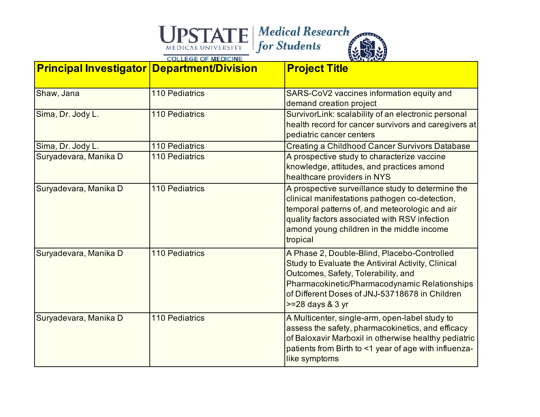| <b>Principal Investigator Department/Division</b> |                       | <b>Project Title</b>                                                                                                                                                                                                                                               |
|---------------------------------------------------|-----------------------|--------------------------------------------------------------------------------------------------------------------------------------------------------------------------------------------------------------------------------------------------------------------|
| Shaw, Jana                                        | <b>110 Pediatrics</b> | SARS-CoV2 vaccines information equity and<br>demand creation project                                                                                                                                                                                               |
| Sima, Dr. Jody L.                                 | <b>110 Pediatrics</b> | SurvivorLink: scalability of an electronic personal<br>health record for cancer survivors and caregivers at<br>pediatric cancer centers                                                                                                                            |
| Sima, Dr. Jody L.                                 | <b>110 Pediatrics</b> | <b>Creating a Childhood Cancer Survivors Database</b>                                                                                                                                                                                                              |
| Suryadevara, Manika D                             | <b>110 Pediatrics</b> | A prospective study to characterize vaccine<br>knowledge, attitudes, and practices amond<br>healthcare providers in NYS                                                                                                                                            |
| Suryadevara, Manika D                             | <b>110 Pediatrics</b> | A prospective surveillance study to determine the<br>clinical manifestations pathogen co-detection,<br>temporal patterns of, and meteorologic and air<br>quality factors associated with RSV infection<br>amond young children in the middle income<br>tropical    |
| Suryadevara, Manika D                             | <b>110 Pediatrics</b> | A Phase 2, Double-Blind, Placebo-Controlled<br>Study to Evaluate the Antiviral Activity, Clinical<br>Outcomes, Safety, Tolerability, and<br>Pharmacokinetic/Pharmacodynamic Relationships<br>of Different Doses of JNJ-53718678 in Children<br>$>=$ 28 days & 3 yr |
| Suryadevara, Manika D                             | <b>110 Pediatrics</b> | A Multicenter, single-arm, open-label study to<br>assess the safety, pharmacokinetics, and efficacy<br>of Baloxavir Marboxil in otherwise healthy pediatric<br>patients from Birth to <1 year of age with influenza-<br>like symptoms                              |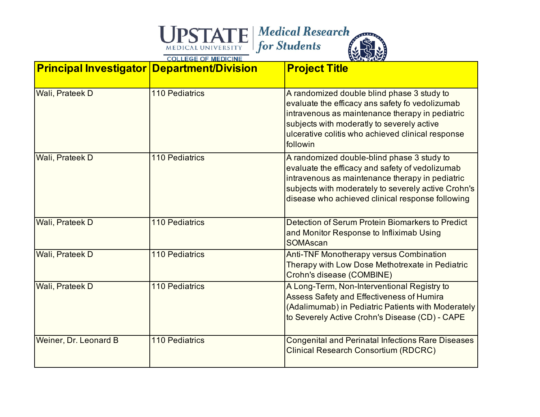| <b>Principal Investigator Department/Division</b> |                       | <b>Project Title</b>                                                                                                                                                                                                                                            |
|---------------------------------------------------|-----------------------|-----------------------------------------------------------------------------------------------------------------------------------------------------------------------------------------------------------------------------------------------------------------|
| Wali, Prateek D                                   | <b>110 Pediatrics</b> | A randomized double blind phase 3 study to<br>evaluate the efficacy ans safety fo vedolizumab<br>intravenous as maintenance therapy in pediatric<br>subjects with moderatly to severely active<br>ulcerative colitis who achieved clinical response<br>followin |
| Wali, Prateek D                                   | <b>110 Pediatrics</b> | A randomized double-blind phase 3 study to<br>evaluate the efficacy and safety of vedolizumab<br>intravenous as maintenance therapy in pediatric<br>subjects with moderately to severely active Crohn's<br>disease who achieved clinical response following     |
| Wali, Prateek D                                   | <b>110 Pediatrics</b> | Detection of Serum Protein Biomarkers to Predict<br>and Monitor Response to Infliximab Using<br>SOMAscan                                                                                                                                                        |
| Wali, Prateek D                                   | <b>110 Pediatrics</b> | <b>Anti-TNF Monotherapy versus Combination</b><br>Therapy with Low Dose Methotrexate in Pediatric<br>Crohn's disease (COMBINE)                                                                                                                                  |
| Wali, Prateek D                                   | <b>110 Pediatrics</b> | A Long-Term, Non-Interventional Registry to<br><b>Assess Safety and Effectiveness of Humira</b><br>(Adalimumab) in Pediatric Patients with Moderately<br>to Severely Active Crohn's Disease (CD) - CAPE                                                         |
| Weiner, Dr. Leonard B                             | <b>110 Pediatrics</b> | <b>Congenital and Perinatal Infections Rare Diseases</b><br><b>Clinical Research Consortium (RDCRC)</b>                                                                                                                                                         |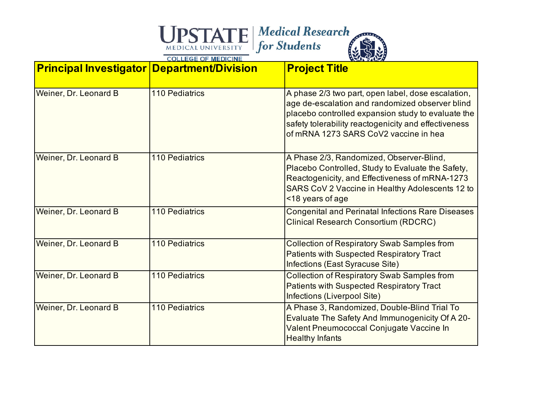| <b>Principal Investigator Department/Division</b> |                       | <b>Project Title</b>                                                                                                                                                                                                                                         |
|---------------------------------------------------|-----------------------|--------------------------------------------------------------------------------------------------------------------------------------------------------------------------------------------------------------------------------------------------------------|
| Weiner, Dr. Leonard B                             | <b>110 Pediatrics</b> | A phase 2/3 two part, open label, dose escalation,<br>age de-escalation and randomized observer blind<br>placebo controlled expansion study to evaluate the<br>safety tolerability reactogenicity and effectiveness<br>of mRNA 1273 SARS CoV2 vaccine in hea |
| Weiner, Dr. Leonard B                             | <b>110 Pediatrics</b> | A Phase 2/3, Randomized, Observer-Blind,<br>Placebo Controlled, Study to Evaluate the Safety,<br>Reactogenicity, and Effectiveness of mRNA-1273<br>SARS CoV 2 Vaccine in Healthy Adolescents 12 to<br><18 years of age                                       |
| Weiner, Dr. Leonard B                             | <b>110 Pediatrics</b> | <b>Congenital and Perinatal Infections Rare Diseases</b><br><b>Clinical Research Consortium (RDCRC)</b>                                                                                                                                                      |
| Weiner, Dr. Leonard B                             | <b>110 Pediatrics</b> | <b>Collection of Respiratory Swab Samples from</b><br><b>Patients with Suspected Respiratory Tract</b><br>Infections (East Syracuse Site)                                                                                                                    |
| Weiner, Dr. Leonard B                             | <b>110 Pediatrics</b> | <b>Collection of Respiratory Swab Samples from</b><br><b>Patients with Suspected Respiratory Tract</b><br>Infections (Liverpool Site)                                                                                                                        |
| Weiner, Dr. Leonard B                             | <b>110 Pediatrics</b> | A Phase 3, Randomized, Double-Blind Trial To<br>Evaluate The Safety And Immunogenicity Of A 20-<br>Valent Pneumococcal Conjugate Vaccine In<br><b>Healthy Infants</b>                                                                                        |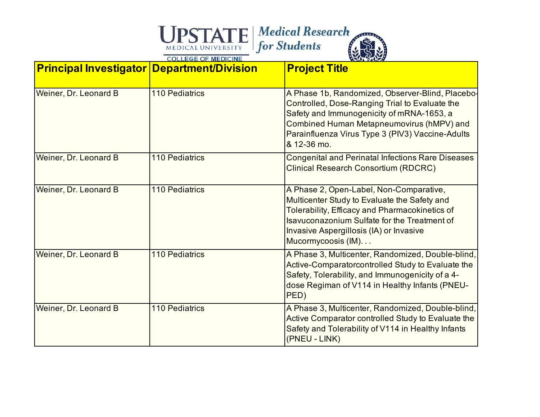| <b>Principal Investigator Department/Division</b> |                       | <b>Project Title</b>                                                                                                                                                                                                                                            |
|---------------------------------------------------|-----------------------|-----------------------------------------------------------------------------------------------------------------------------------------------------------------------------------------------------------------------------------------------------------------|
| Weiner, Dr. Leonard B                             | <b>110 Pediatrics</b> | A Phase 1b, Randomized, Observer-Blind, Placebo-<br>Controlled, Dose-Ranging Trial to Evaluate the<br>Safety and Immunogenicity of mRNA-1653, a<br>Combined Human Metapneumovirus (hMPV) and<br>Parainfluenza Virus Type 3 (PIV3) Vaccine-Adults<br>& 12-36 mo. |
| Weiner, Dr. Leonard B                             | <b>110 Pediatrics</b> | <b>Congenital and Perinatal Infections Rare Diseases</b><br><b>Clinical Research Consortium (RDCRC)</b>                                                                                                                                                         |
| Weiner, Dr. Leonard B                             | <b>110 Pediatrics</b> | A Phase 2, Open-Label, Non-Comparative,<br>Multicenter Study to Evaluate the Safety and<br>Tolerability, Efficacy and Pharmacokinetics of<br>Isayuconazonium Sulfate for the Treatment of<br>Invasive Aspergillosis (IA) or Invasive<br>Mucormycoosis (IM).     |
| Weiner, Dr. Leonard B                             | <b>110 Pediatrics</b> | A Phase 3, Multicenter, Randomized, Double-blind,<br>Active-Comparatorcontrolled Study to Evaluate the<br>Safety, Tolerability, and Immunogenicity of a 4-<br>dose Regiman of V114 in Healthy Infants (PNEU-<br>PED)                                            |
| Weiner, Dr. Leonard B                             | <b>110 Pediatrics</b> | A Phase 3, Multicenter, Randomized, Double-blind,<br>Active Comparator controlled Study to Evaluate the<br>Safety and Tolerability of V114 in Healthy Infants<br>(PNEU - LINK)                                                                                  |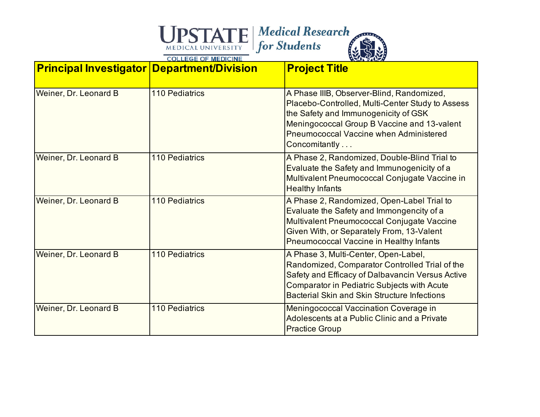| <b>Principal Investigator Department/Division</b> |                       | <b>Project Title</b>                                                                                                                                                                                                                                    |
|---------------------------------------------------|-----------------------|---------------------------------------------------------------------------------------------------------------------------------------------------------------------------------------------------------------------------------------------------------|
| Weiner, Dr. Leonard B                             | <b>110 Pediatrics</b> | A Phase IIIB, Observer-Blind, Randomized,<br>Placebo-Controlled, Multi-Center Study to Assess<br>the Safety and Immunogenicity of GSK<br>Meningococcal Group B Vaccine and 13-valent<br><b>Pneumococcal Vaccine when Administered</b><br>Concomitantly  |
| Weiner, Dr. Leonard B                             | <b>110 Pediatrics</b> | A Phase 2, Randomized, Double-Blind Trial to<br>Evaluate the Safety and Immunogenicity of a<br>Multivalent Pneumococcal Conjugate Vaccine in<br><b>Healthy Infants</b>                                                                                  |
| Weiner, Dr. Leonard B                             | <b>110 Pediatrics</b> | A Phase 2, Randomized, Open-Label Trial to<br>Evaluate the Safety and Immongencity of a<br>Multivalent Pneumococcal Conjugate Vaccine<br>Given With, or Separately From, 13-Valent<br><b>Pneumococcal Vaccine in Healthy Infants</b>                    |
| Weiner, Dr. Leonard B                             | <b>110 Pediatrics</b> | A Phase 3, Multi-Center, Open-Label,<br>Randomized, Comparator Controlled Trial of the<br>Safety and Efficacy of Dalbavancin Versus Active<br><b>Comparator in Pediatric Subjects with Acute</b><br><b>Bacterial Skin and Skin Structure Infections</b> |
| Weiner, Dr. Leonard B                             | <b>110 Pediatrics</b> | Meningococcal Vaccination Coverage in<br>Adolescents at a Public Clinic and a Private<br><b>Practice Group</b>                                                                                                                                          |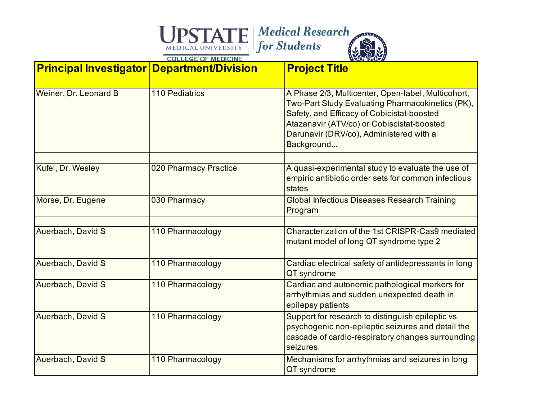| <b>Principal Investigator Department/Division</b> |                       | <b>Project Title</b>                                                                                                                                                                                                                                        |
|---------------------------------------------------|-----------------------|-------------------------------------------------------------------------------------------------------------------------------------------------------------------------------------------------------------------------------------------------------------|
| Weiner, Dr. Leonard B                             | <b>110 Pediatrics</b> | A Phase 2/3, Multicenter, Open-label, Multicohort,<br>Two-Part Study Evaluating Pharmacokinetics (PK),<br>Safety, and Efficacy of Cobicistat-boosted<br>Atazanavir (ATV/co) or Cobiscistat-boosted<br>Darunavir (DRV/co), Administered with a<br>Background |
| Kufel, Dr. Wesley                                 | 020 Pharmacy Practice | A quasi-experimental study to evaluate the use of<br>empiric antibiotic order sets for common infectious<br>states                                                                                                                                          |
| Morse, Dr. Eugene                                 | 030 Pharmacy          | <b>Global Infectious Diseases Research Training</b><br>Program                                                                                                                                                                                              |
| Auerbach, David S                                 | 110 Pharmacology      | Characterization of the 1st CRISPR-Cas9 mediated<br>mutant model of long QT syndrome type 2                                                                                                                                                                 |
| Auerbach, David S                                 | 110 Pharmacology      | Cardiac electrical safety of antidepressants in long<br>QT syndrome                                                                                                                                                                                         |
| Auerbach, David S                                 | 110 Pharmacology      | Cardiac and autonomic pathological markers for<br>arrhythmias and sudden unexpected death in<br>epilepsy patients                                                                                                                                           |
| Auerbach, David S                                 | 110 Pharmacology      | Support for research to distinguish epileptic vs<br>psychogenic non-epileptic seizures and detail the<br>cascade of cardio-respiratory changes surrounding<br>seizures                                                                                      |
| Auerbach, David S                                 | 110 Pharmacology      | Mechanisms for arrhythmias and seizures in long<br>QT syndrome                                                                                                                                                                                              |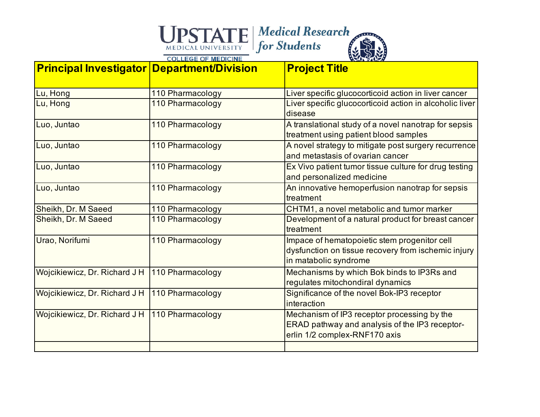

| <b>Principal Investigator Department/Division</b> |                  | <b>Project Title</b>                                                                                                           |
|---------------------------------------------------|------------------|--------------------------------------------------------------------------------------------------------------------------------|
| Lu, Hong                                          | 110 Pharmacology | Liver specific glucocorticoid action in liver cancer                                                                           |
| Lu, Hong                                          | 110 Pharmacology | Liver specific glucocorticoid action in alcoholic liver<br>disease                                                             |
| Luo, Juntao                                       | 110 Pharmacology | A translational study of a novel nanotrap for sepsis<br>treatment using patient blood samples                                  |
| Luo, Juntao                                       | 110 Pharmacology | A novel strategy to mitigate post surgery recurrence<br>and metastasis of ovarian cancer                                       |
| Luo, Juntao                                       | 110 Pharmacology | Ex Vivo patient tumor tissue culture for drug testing<br>and personalized medicine                                             |
| Luo, Juntao                                       | 110 Pharmacology | An innovative hemoperfusion nanotrap for sepsis<br>treatment                                                                   |
| Sheikh, Dr. M Saeed                               | 110 Pharmacology | CHTM1, a novel metabolic and tumor marker                                                                                      |
| Sheikh, Dr. M Saeed                               | 110 Pharmacology | Development of a natural product for breast cancer<br>treatment                                                                |
| Urao, Norifumi                                    | 110 Pharmacology | Impace of hematopoietic stem progenitor cell<br>dysfunction on tissue recovery from ischemic injury<br>in matabolic syndrome   |
| Wojcikiewicz, Dr. Richard J H                     | 110 Pharmacology | Mechanisms by which Bok binds to IP3Rs and<br>regulates mitochondiral dynamics                                                 |
| Wojcikiewicz, Dr. Richard J H                     | 110 Pharmacology | Significance of the novel Bok-IP3 receptor<br>interaction                                                                      |
| Wojcikiewicz, Dr. Richard J H                     | 110 Pharmacology | Mechanism of IP3 receptor processing by the<br>ERAD pathway and analysis of the IP3 receptor-<br>erlin 1/2 complex-RNF170 axis |
|                                                   |                  |                                                                                                                                |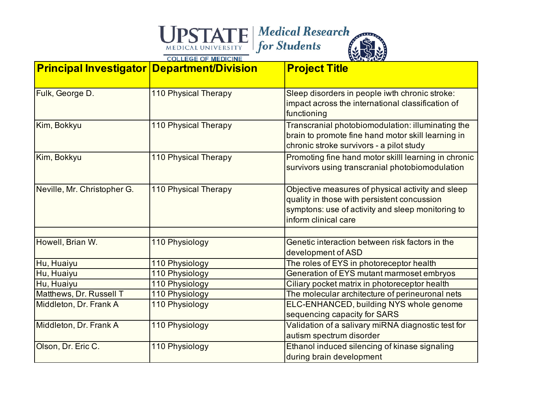| <b>Principal Investigator Department/Division</b> |                             | <b>Project Title</b>                                                                                                                                                          |
|---------------------------------------------------|-----------------------------|-------------------------------------------------------------------------------------------------------------------------------------------------------------------------------|
| Fulk, George D.                                   | <b>110 Physical Therapy</b> | Sleep disorders in people iwth chronic stroke:<br>impact across the international classification of<br>functioning                                                            |
| Kim, Bokkyu                                       | <b>110 Physical Therapy</b> | Transcranial photobiomodulation: illuminating the<br>brain to promote fine hand motor skill learning in<br>chronic stroke survivors - a pilot study                           |
| Kim, Bokkyu                                       | <b>110 Physical Therapy</b> | Promoting fine hand motor skilll learning in chronic<br>survivors using transcranial photobiomodulation                                                                       |
| Neville, Mr. Christopher G.                       | <b>110 Physical Therapy</b> | Objective measures of physical activity and sleep<br>quality in those with persistent concussion<br>symptons: use of activity and sleep monitoring to<br>inform clinical care |
| Howell, Brian W.                                  | 110 Physiology              | Genetic interaction between risk factors in the<br>development of ASD                                                                                                         |
| Hu, Huaiyu                                        | 110 Physiology              | The roles of EYS in photoreceptor health                                                                                                                                      |
| Hu, Huaiyu                                        | 110 Physiology              | Generation of EYS mutant marmoset embryos                                                                                                                                     |
| Hu, Huaiyu                                        | 110 Physiology              | Ciliary pocket matrix in photoreceptor health                                                                                                                                 |
| Matthews, Dr. Russell T                           | 110 Physiology              | The molecular architecture of perineuronal nets                                                                                                                               |
| Middleton, Dr. Frank A                            | 110 Physiology              | ELC-ENHANCED, building NYS whole genome<br>sequencing capacity for SARS                                                                                                       |
| Middleton, Dr. Frank A                            | 110 Physiology              | Validation of a salivary miRNA diagnostic test for<br>autism spectrum disorder                                                                                                |
| Olson, Dr. Eric C.                                | 110 Physiology              | Ethanol induced silencing of kinase signaling<br>during brain development                                                                                                     |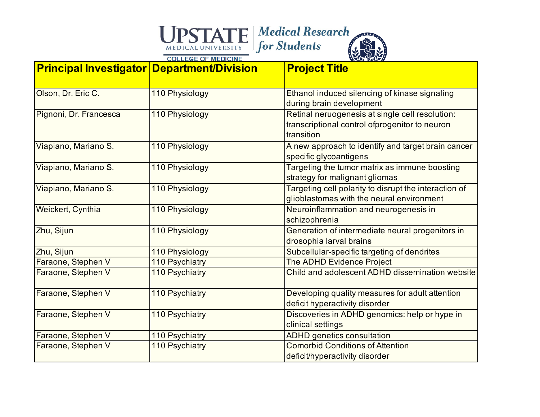| <b>Principal Investigator Department/Division</b> |                | <b>Project Title</b>                                                                                             |
|---------------------------------------------------|----------------|------------------------------------------------------------------------------------------------------------------|
| Olson, Dr. Eric C.                                | 110 Physiology | Ethanol induced silencing of kinase signaling<br>during brain development                                        |
| Pignoni, Dr. Francesca                            | 110 Physiology | Retinal neruogenesis at single cell resolution:<br>transcriptional control of progenitor to neuron<br>transition |
| Viapiano, Mariano S.                              | 110 Physiology | A new approach to identify and target brain cancer<br>specific glycoantigens                                     |
| Viapiano, Mariano S.                              | 110 Physiology | Targeting the tumor matrix as immune boosting<br>strategy for malignant gliomas                                  |
| Viapiano, Mariano S.                              | 110 Physiology | Targeting cell polarity to disrupt the interaction of<br>glioblastomas with the neural environment               |
| Weickert, Cynthia                                 | 110 Physiology | Neuroinflammation and neurogenesis in<br>schizophrenia                                                           |
| Zhu, Sijun                                        | 110 Physiology | Generation of intermediate neural progenitors in<br>drosophia larval brains                                      |
| Zhu, Sijun                                        | 110 Physiology | Subcellular-specific targeting of dendrites                                                                      |
| Faraone, Stephen V                                | 110 Psychiatry | <b>The ADHD Evidence Project</b>                                                                                 |
| Faraone, Stephen V                                | 110 Psychiatry | Child and adolescent ADHD dissemination website                                                                  |
| Faraone, Stephen V                                | 110 Psychiatry | Developing quality measures for adult attention<br>deficit hyperactivity disorder                                |
| Faraone, Stephen V                                | 110 Psychiatry | Discoveries in ADHD genomics: help or hype in<br>clinical settings                                               |
| Faraone, Stephen V                                | 110 Psychiatry | <b>ADHD</b> genetics consultation                                                                                |
| Faraone, Stephen V                                | 110 Psychiatry | <b>Comorbid Conditions of Attention</b><br>deficit/hyperactivity disorder                                        |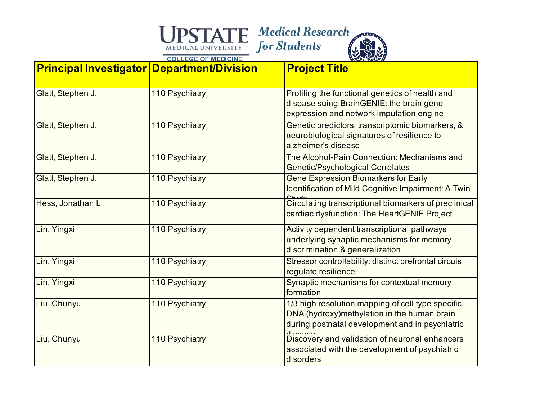| <b>Principal Investigator Department/Division</b> |                | <b>Project Title</b>                                                                                                                                 |
|---------------------------------------------------|----------------|------------------------------------------------------------------------------------------------------------------------------------------------------|
| Glatt, Stephen J.                                 | 110 Psychiatry | Proliling the functional genetics of health and<br>disease suing BrainGENIE: the brain gene<br>expression and network imputation engine              |
| Glatt, Stephen J.                                 | 110 Psychiatry | Genetic predictors, transcriptomic biomarkers, &<br>neurobiological signatures of resilience to<br>alzheimer's disease                               |
| Glatt, Stephen J.                                 | 110 Psychiatry | The Alcohol-Pain Connection: Mechanisms and<br><b>Genetic/Psychological Correlates</b>                                                               |
| Glatt, Stephen J.                                 | 110 Psychiatry | <b>Gene Expression Biomarkers for Early</b><br>Identification of Mild Cognitive Impairment: A Twin                                                   |
| Hess, Jonathan L                                  | 110 Psychiatry | Circulating transcriptional biomarkers of preclinical<br>cardiac dysfunction: The HeartGENIE Project                                                 |
| Lin, Yingxi                                       | 110 Psychiatry | Activity dependent transcriptional pathways<br>underlying synaptic mechanisms for memory<br>discrimination & generalization                          |
| Lin, Yingxi                                       | 110 Psychiatry | Stressor controllability: distinct prefrontal circuis<br>regulate resilience                                                                         |
| Lin, Yingxi                                       | 110 Psychiatry | Synaptic mechanisms for contextual memory<br>formation                                                                                               |
| Liu, Chunyu                                       | 110 Psychiatry | 1/3 high resolution mapping of cell type specific<br>DNA (hydroxy) methylation in the human brain<br>during postnatal development and in psychiatric |
| Liu, Chunyu                                       | 110 Psychiatry | Discovery and validation of neuronal enhancers<br>associated with the development of psychiatric<br>disorders                                        |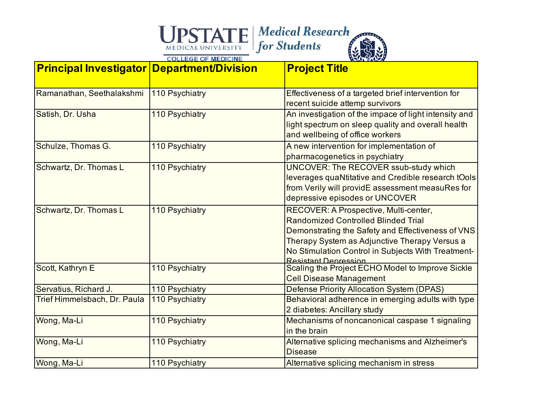| <b>Principal Investigator Department/Division</b> |                | <b>Project Title</b>                                                                                                                                                                                                                                                    |
|---------------------------------------------------|----------------|-------------------------------------------------------------------------------------------------------------------------------------------------------------------------------------------------------------------------------------------------------------------------|
| Ramanathan, Seethalakshmi                         | 110 Psychiatry | Effectiveness of a targeted brief intervention for<br>recent suicide attemp survivors                                                                                                                                                                                   |
| Satish, Dr. Usha                                  | 110 Psychiatry | An investigation of the impace of light intensity and<br>light spectrum on sleep quality and overall health<br>and wellbeing of office workers                                                                                                                          |
| Schulze, Thomas G.                                | 110 Psychiatry | A new intervention for implementation of<br>pharmacogenetics in psychiatry                                                                                                                                                                                              |
| Schwartz, Dr. Thomas L                            | 110 Psychiatry | UNCOVER: The RECOVER ssub-study which<br>leverages quaNtitative and Credible research tOols<br>from Verily will providE assessment measuRes for<br>depressive episodes or UNCOVER                                                                                       |
| Schwartz, Dr. Thomas L                            | 110 Psychiatry | RECOVER: A Prospective, Multi-center,<br><b>Randomized Controlled Blinded Trial</b><br>Demonstrating the Safety and Effectiveness of VNS<br>Therapy System as Adjunctive Therapy Versus a<br>No Stimulation Control in Subjects With Treatment-<br>Resistant Denression |
| Scott, Kathryn E                                  | 110 Psychiatry | Scaling the Project ECHO Model to Improve Sickle<br><b>Cell Disease Management</b>                                                                                                                                                                                      |
| Servatius, Richard J.                             | 110 Psychiatry | Defense Priority Allocation System (DPAS)                                                                                                                                                                                                                               |
| Trief Himmelsbach, Dr. Paula                      | 110 Psychiatry | Behavioral adherence in emerging adults with type<br>2 diabetes: Ancillary study                                                                                                                                                                                        |
| Wong, Ma-Li                                       | 110 Psychiatry | Mechanisms of noncanonical caspase 1 signaling<br>in the brain                                                                                                                                                                                                          |
| Wong, Ma-Li                                       | 110 Psychiatry | Alternative splicing mechanisms and Alzheimer's<br><b>Disease</b>                                                                                                                                                                                                       |
| Wong, Ma-Li                                       | 110 Psychiatry | Alternative splicing mechanism in stress                                                                                                                                                                                                                                |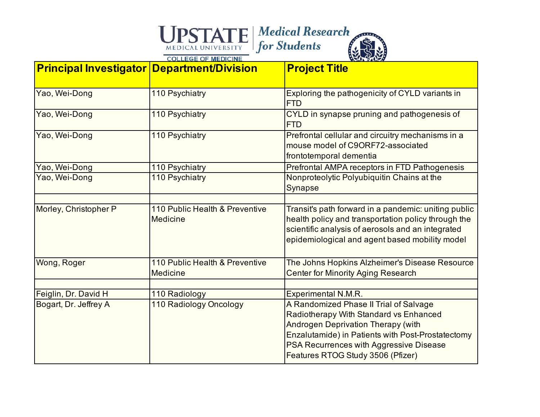| <b>Principal Investigator Department/Division</b> |                                                   | <b>Project Title</b>                                                                                                                                                                                                                                               |
|---------------------------------------------------|---------------------------------------------------|--------------------------------------------------------------------------------------------------------------------------------------------------------------------------------------------------------------------------------------------------------------------|
| Yao, Wei-Dong                                     | 110 Psychiatry                                    | Exploring the pathogenicity of CYLD variants in<br><b>FTD</b>                                                                                                                                                                                                      |
| Yao, Wei-Dong                                     | 110 Psychiatry                                    | CYLD in synapse pruning and pathogenesis of<br><b>FTD</b>                                                                                                                                                                                                          |
| Yao, Wei-Dong                                     | 110 Psychiatry                                    | Prefrontal cellular and circuitry mechanisms in a<br>mouse model of C9ORF72-associated<br>frontotemporal dementia                                                                                                                                                  |
| Yao, Wei-Dong                                     | 110 Psychiatry                                    | Prefrontal AMPA receptors in FTD Pathogenesis                                                                                                                                                                                                                      |
| Yao, Wei-Dong                                     | 110 Psychiatry                                    | Nonproteolytic Polyubiquitin Chains at the<br>Synapse                                                                                                                                                                                                              |
| Morley, Christopher P                             | 110 Public Health & Preventive<br><b>Medicine</b> | Transit's path forward in a pandemic: uniting public<br>health policy and transportation policy through the<br>scientific analysis of aerosols and an integrated<br>epidemiological and agent based mobility model                                                 |
| Wong, Roger                                       | 110 Public Health & Preventive<br><b>Medicine</b> | The Johns Hopkins Alzheimer's Disease Resource<br><b>Center for Minority Aging Research</b>                                                                                                                                                                        |
|                                                   |                                                   |                                                                                                                                                                                                                                                                    |
| Feiglin, Dr. David H                              | 110 Radiology                                     | <b>Experimental N.M.R.</b>                                                                                                                                                                                                                                         |
| Bogart, Dr. Jeffrey A                             | 110 Radiology Oncology                            | A Randomized Phase II Trial of Salvage<br>Radiotherapy With Standard vs Enhanced<br><b>Androgen Deprivation Therapy (with</b><br>Enzalutamide) in Patients with Post-Prostatectomy<br>PSA Recurrences with Aggressive Disease<br>Features RTOG Study 3506 (Pfizer) |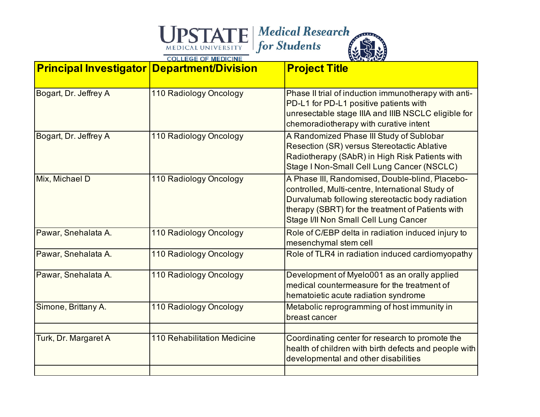| <b>Principal Investigator Department/Division</b> |                                    | <b>Project Title</b>                                                                                                                                                                                                                                  |
|---------------------------------------------------|------------------------------------|-------------------------------------------------------------------------------------------------------------------------------------------------------------------------------------------------------------------------------------------------------|
| Bogart, Dr. Jeffrey A                             | 110 Radiology Oncology             | Phase II trial of induction immunotherapy with anti-<br>PD-L1 for PD-L1 positive patients with<br>unresectable stage IIIA and IIIB NSCLC eligible for<br>chemoradiotherapy with curative intent                                                       |
| Bogart, Dr. Jeffrey A                             | 110 Radiology Oncology             | A Randomized Phase III Study of Sublobar<br><b>Resection (SR) versus Stereotactic Ablative</b><br>Radiotherapy (SAbR) in High Risk Patients with<br>Stage I Non-Small Cell Lung Cancer (NSCLC)                                                        |
| Mix, Michael D                                    | 110 Radiology Oncology             | A Phase III, Randomised, Double-blind, Placebo-<br>controlled, Multi-centre, International Study of<br>Durvalumab following stereotactic body radiation<br>therapy (SBRT) for the treatment of Patients with<br>Stage I/II Non Small Cell Lung Cancer |
| Pawar, Snehalata A.                               | 110 Radiology Oncology             | Role of C/EBP delta in radiation induced injury to<br>mesenchymal stem cell                                                                                                                                                                           |
| Pawar, Snehalata A.                               | 110 Radiology Oncology             | Role of TLR4 in radiation induced cardiomyopathy                                                                                                                                                                                                      |
| Pawar, Snehalata A.                               | 110 Radiology Oncology             | Development of Myelo001 as an orally applied<br>medical countermeasure for the treatment of<br>hematoietic acute radiation syndrome                                                                                                                   |
| Simone, Brittany A.                               | 110 Radiology Oncology             | Metabolic reprogramming of host immunity in<br>breast cancer                                                                                                                                                                                          |
| Turk, Dr. Margaret A                              | <b>110 Rehabilitation Medicine</b> | Coordinating center for research to promote the<br>health of children with birth defects and people with<br>developmental and other disabilities                                                                                                      |
|                                                   |                                    |                                                                                                                                                                                                                                                       |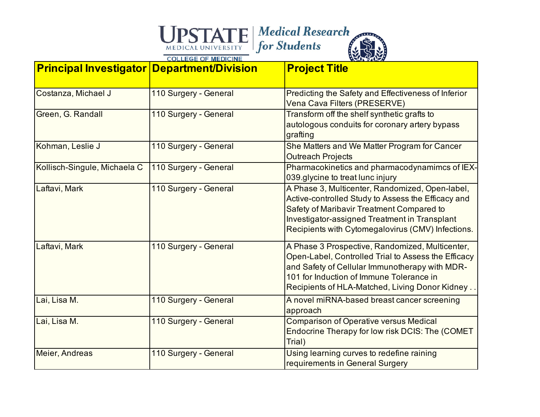| <b>Principal Investigator Department/Division</b> |                       | <b>Project Title</b>                                                                                                                                                                                                                                            |
|---------------------------------------------------|-----------------------|-----------------------------------------------------------------------------------------------------------------------------------------------------------------------------------------------------------------------------------------------------------------|
| Costanza, Michael J                               | 110 Surgery - General | Predicting the Safety and Effectiveness of Inferior<br>Vena Cava Filters (PRESERVE)                                                                                                                                                                             |
| Green, G. Randall                                 | 110 Surgery - General | Transform off the shelf synthetic grafts to<br>autologous conduits for coronary artery bypass<br>grafting                                                                                                                                                       |
| Kohman, Leslie J                                  | 110 Surgery - General | She Matters and We Matter Program for Cancer<br><b>Outreach Projects</b>                                                                                                                                                                                        |
| Kollisch-Singule, Michaela C                      | 110 Surgery - General | Pharmacokinetics and pharmacodynamimcs of IEX-<br>039.glycine to treat lunc injury                                                                                                                                                                              |
| Laftavi, Mark                                     | 110 Surgery - General | A Phase 3, Multicenter, Randomized, Open-label,<br>Active-controlled Study to Assess the Efficacy and<br>Safety of Maribavir Treatment Compared to<br><b>Investigator-assigned Treatment in Transplant</b><br>Recipients with Cytomegalovirus (CMV) Infections. |
| Laftavi, Mark                                     | 110 Surgery - General | A Phase 3 Prospective, Randomized, Multicenter,<br>Open-Label, Controlled Trial to Assess the Efficacy<br>and Safety of Cellular Immunotherapy with MDR-<br>101 for Induction of Immune Tolerance in<br>Recipients of HLA-Matched, Living Donor Kidney          |
| Lai, Lisa M.                                      | 110 Surgery - General | A novel miRNA-based breast cancer screening<br>approach                                                                                                                                                                                                         |
| Lai, Lisa M.                                      | 110 Surgery - General | <b>Comparison of Operative versus Medical</b><br>Endocrine Therapy for low risk DCIS: The (COMET<br>Trial)                                                                                                                                                      |
| Meier, Andreas                                    | 110 Surgery - General | Using learning curves to redefine raining<br>requirements in General Surgery                                                                                                                                                                                    |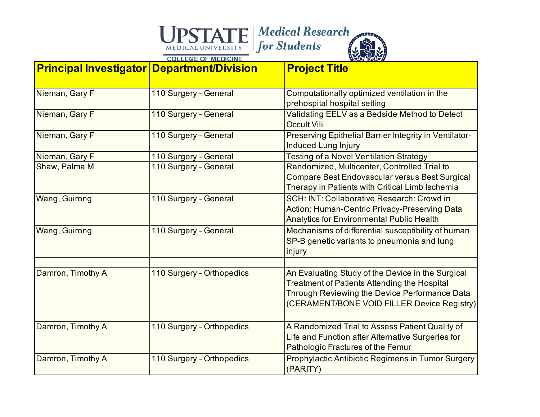| <b>Principal Investigator Department/Division</b> |                           | <b>Project Title</b>                                                                                                                                                                                     |
|---------------------------------------------------|---------------------------|----------------------------------------------------------------------------------------------------------------------------------------------------------------------------------------------------------|
| Nieman, Gary F                                    | 110 Surgery - General     | Computationally optimized ventilation in the<br>prehospital hospital setting                                                                                                                             |
| Nieman, Gary F                                    | 110 Surgery - General     | Validating EELV as a Bedside Method to Detect<br><b>Occult Vili</b>                                                                                                                                      |
| Nieman, Gary F                                    | 110 Surgery - General     | Preserving Epithelial Barrier Integrity in Ventilator-<br><b>Induced Lung Injury</b>                                                                                                                     |
| Nieman, Gary F                                    | 110 Surgery - General     | <b>Testing of a Novel Ventilation Strategy</b>                                                                                                                                                           |
| Shaw, Palma M                                     | 110 Surgery - General     | Randomized, Multicenter, Controlled Trial to<br>Compare Best Endovascular versus Best Surgical<br>Therapy in Patients with Critical Limb Ischemia                                                        |
| Wang, Guirong                                     | 110 Surgery - General     | SCH: INT: Collaborative Research: Crowd in<br><b>Action: Human-Centric Privacy-Preserving Data</b><br><b>Analytics for Environmental Public Health</b>                                                   |
| Wang, Guirong                                     | 110 Surgery - General     | Mechanisms of differential susceptibility of human<br>SP-B genetic variants to pneumonia and lung<br>injury                                                                                              |
| Damron, Timothy A                                 | 110 Surgery - Orthopedics | An Evaluating Study of the Device in the Surgical<br><b>Treatment of Patients Attending the Hospital</b><br>Through Reviewing the Device Performance Data<br>(CERAMENT/BONE VOID FILLER Device Registry) |
| Damron, Timothy A                                 | 110 Surgery - Orthopedics | A Randomized Trial to Assess Patient Quality of<br>Life and Function after Alternative Surgeries for<br>Pathologic Fractures of the Femur                                                                |
| Damron, Timothy A                                 | 110 Surgery - Orthopedics | Prophylactic Antibiotic Regimens in Tumor Surgery<br>(PARITY)                                                                                                                                            |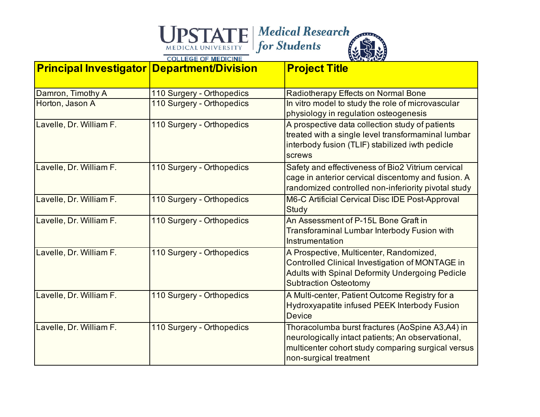

| <b>Principal Investigator Department/Division</b> |                           | <b>Project Title</b>                                                                                                                                                                 |
|---------------------------------------------------|---------------------------|--------------------------------------------------------------------------------------------------------------------------------------------------------------------------------------|
| Damron, Timothy A                                 | 110 Surgery - Orthopedics | Radiotherapy Effects on Normal Bone                                                                                                                                                  |
| Horton, Jason A                                   | 110 Surgery - Orthopedics | In vitro model to study the role of microvascular                                                                                                                                    |
|                                                   |                           | physiology in regulation osteogenesis                                                                                                                                                |
| Lavelle, Dr. William F.                           | 110 Surgery - Orthopedics | A prospective data collection study of patients<br>treated with a single level transformaminal lumbar<br>interbody fusion (TLIF) stabilized iwth pedicle<br>screws                   |
| Lavelle, Dr. William F.                           | 110 Surgery - Orthopedics | Safety and effectiveness of Bio2 Vitrium cervical<br>cage in anterior cervical discentomy and fusion. A<br>randomized controlled non-inferiority pivotal study                       |
| Lavelle, Dr. William F.                           | 110 Surgery - Orthopedics | M6-C Artificial Cervical Disc IDE Post-Approval<br>Study                                                                                                                             |
| Lavelle, Dr. William F.                           | 110 Surgery - Orthopedics | An Assessment of P-15L Bone Graft in<br><b>Transforaminal Lumbar Interbody Fusion with</b><br>Instrumentation                                                                        |
| Lavelle, Dr. William F.                           | 110 Surgery - Orthopedics | A Prospective, Multicenter, Randomized,<br>Controlled Clinical Investigation of MONTAGE in<br><b>Adults with Spinal Deformity Undergoing Pedicle</b><br><b>Subtraction Osteotomy</b> |
| Lavelle, Dr. William F.                           | 110 Surgery - Orthopedics | A Multi-center, Patient Outcome Registry for a<br>Hydroxyapatite infused PEEK Interbody Fusion<br><b>Device</b>                                                                      |
| Lavelle, Dr. William F.                           | 110 Surgery - Orthopedics | Thoracolumba burst fractures (AoSpine A3,A4) in<br>neurologically intact patients; An observational,<br>multicenter cohort study comparing surgical versus<br>non-surgical treatment |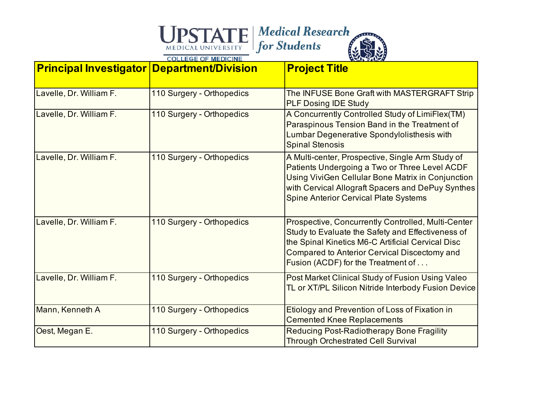| <b>Principal Investigator Department/Division</b> |                           | <b>Project Title</b>                                                                                                                                                                                                                                        |
|---------------------------------------------------|---------------------------|-------------------------------------------------------------------------------------------------------------------------------------------------------------------------------------------------------------------------------------------------------------|
| Lavelle, Dr. William F.                           | 110 Surgery - Orthopedics | The INFUSE Bone Graft with MASTERGRAFT Strip<br><b>PLF Dosing IDE Study</b>                                                                                                                                                                                 |
| Lavelle, Dr. William F.                           | 110 Surgery - Orthopedics | A Concurrently Controlled Study of LimiFlex(TM)<br>Paraspinous Tension Band in the Treatment of<br>Lumbar Degenerative Spondylolisthesis with<br><b>Spinal Stenosis</b>                                                                                     |
| Lavelle, Dr. William F.                           | 110 Surgery - Orthopedics | A Multi-center, Prospective, Single Arm Study of<br>Patients Undergoing a Two or Three Level ACDF<br>Using ViviGen Cellular Bone Matrix in Conjunction<br>with Cervical Allograft Spacers and DePuy Synthes<br><b>Spine Anterior Cervical Plate Systems</b> |
| Lavelle, Dr. William F.                           | 110 Surgery - Orthopedics | Prospective, Concurrently Controlled, Multi-Center<br>Study to Evaluate the Safety and Effectiveness of<br>the Spinal Kinetics M6-C Artificial Cervical Disc<br><b>Compared to Anterior Cervical Discectomy and</b><br>Fusion (ACDF) for the Treatment of   |
| Lavelle, Dr. William F.                           | 110 Surgery - Orthopedics | Post Market Clinical Study of Fusion Using Valeo<br>TL or XT/PL Silicon Nitride Interbody Fusion Device                                                                                                                                                     |
| Mann, Kenneth A                                   | 110 Surgery - Orthopedics | Etiology and Prevention of Loss of Fixation in<br><b>Cemented Knee Replacements</b>                                                                                                                                                                         |
| Oest, Megan E.                                    | 110 Surgery - Orthopedics | <b>Reducing Post-Radiotherapy Bone Fragility</b><br><b>Through Orchestrated Cell Survival</b>                                                                                                                                                               |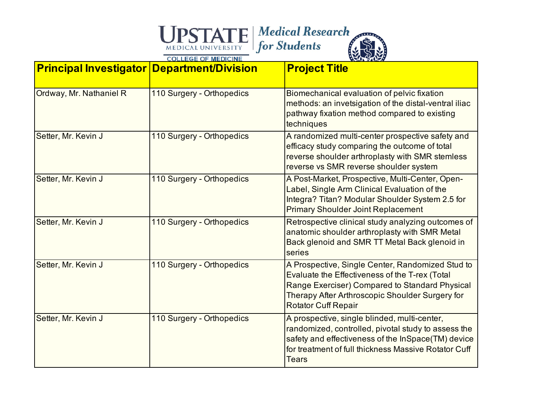### Medical Research<br>
MEDICAL UNIVERSITY<br>
COLLEGE OF MEDICINE

| <b>Principal Investigator Department/Division</b> |                           | <b>Project Title</b>                                                                                                                                                                                                                  |
|---------------------------------------------------|---------------------------|---------------------------------------------------------------------------------------------------------------------------------------------------------------------------------------------------------------------------------------|
| Ordway, Mr. Nathaniel R                           | 110 Surgery - Orthopedics | Biomechanical evaluation of pelvic fixation<br>methods: an invetsigation of the distal-ventral iliac<br>pathway fixation method compared to existing<br>techniques                                                                    |
| Setter, Mr. Kevin J                               | 110 Surgery - Orthopedics | A randomized multi-center prospective safety and<br>efficacy study comparing the outcome of total<br>reverse shoulder arthroplasty with SMR stemless<br>reverse vs SMR reverse shoulder system                                        |
| Setter, Mr. Kevin J                               | 110 Surgery - Orthopedics | A Post-Market, Prospective, Multi-Center, Open-<br>Label, Single Arm Clinical Evaluation of the<br>Integra? Titan? Modular Shoulder System 2.5 for<br><b>Primary Shoulder Joint Replacement</b>                                       |
| Setter, Mr. Kevin J                               | 110 Surgery - Orthopedics | Retrospective clinical study analyzing outcomes of<br>anatomic shoulder arthroplasty with SMR Metal<br>Back glenoid and SMR TT Metal Back glenoid in<br>series                                                                        |
| Setter, Mr. Kevin J                               | 110 Surgery - Orthopedics | A Prospective, Single Center, Randomized Stud to<br>Evaluate the Effectiveness of the T-rex (Total<br>Range Exerciser) Compared to Standard Physical<br>Therapy After Arthroscopic Shoulder Surgery for<br><b>Rotator Cuff Repair</b> |
| Setter, Mr. Kevin J                               | 110 Surgery - Orthopedics | A prospective, single blinded, multi-center,<br>randomized, controlled, pivotal study to assess the<br>safety and effectiveness of the InSpace(TM) device<br>for treatment of full thickness Massive Rotator Cuff<br>Tears            |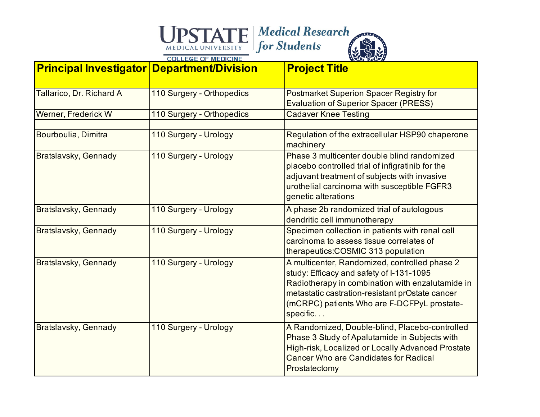| <b>Principal Investigator Department/Division</b> |                           | <b>Project Title</b>                                                                                                                                                                                                                                        |
|---------------------------------------------------|---------------------------|-------------------------------------------------------------------------------------------------------------------------------------------------------------------------------------------------------------------------------------------------------------|
| Tallarico, Dr. Richard A                          | 110 Surgery - Orthopedics | Postmarket Superion Spacer Registry for<br><b>Evaluation of Superior Spacer (PRESS)</b>                                                                                                                                                                     |
| Werner, Frederick W                               | 110 Surgery - Orthopedics | <b>Cadaver Knee Testing</b>                                                                                                                                                                                                                                 |
| Bourboulia, Dimitra                               | 110 Surgery - Urology     | Regulation of the extracellular HSP90 chaperone<br>machinery                                                                                                                                                                                                |
| Bratslavsky, Gennady                              | 110 Surgery - Urology     | Phase 3 multicenter double blind randomized<br>placebo controlled trial of infigratinib for the<br>adjuvant treatment of subjects with invasive<br>urothelial carcinoma with susceptible FGFR3<br>genetic alterations                                       |
| Bratslavsky, Gennady                              | 110 Surgery - Urology     | A phase 2b randomized trial of autologous<br>dendritic cell immunotherapy                                                                                                                                                                                   |
| Bratslavsky, Gennady                              | 110 Surgery - Urology     | Specimen collection in patients with renal cell<br>carcinoma to assess tissue correlates of<br>therapeutics:COSMIC 313 population                                                                                                                           |
| Bratslavsky, Gennady                              | 110 Surgery - Urology     | A multicenter, Randomized, controlled phase 2<br>study: Efficacy and safety of I-131-1095<br>Radiotherapy in combination with enzalutamide in<br>metastatic castration-resistant prOstate cancer<br>(mCRPC) patients Who are F-DCFPyL prostate-<br>specific |
| Bratslavsky, Gennady                              | 110 Surgery - Urology     | A Randomized, Double-blind, Placebo-controlled<br>Phase 3 Study of Apalutamide in Subjects with<br>High-risk, Localized or Locally Advanced Prostate<br><b>Cancer Who are Candidates for Radical</b><br>Prostatectomy                                       |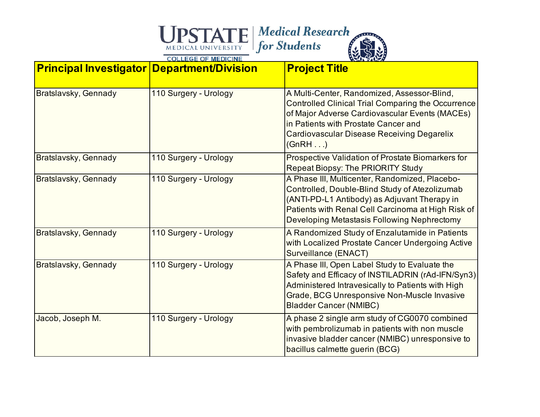| <b>Principal Investigator Department/Division</b> |                       | <b>Project Title</b>                                                                                                                                                                                                                                              |
|---------------------------------------------------|-----------------------|-------------------------------------------------------------------------------------------------------------------------------------------------------------------------------------------------------------------------------------------------------------------|
| Bratslavsky, Gennady                              | 110 Surgery - Urology | A Multi-Center, Randomized, Assessor-Blind,<br><b>Controlled Clinical Trial Comparing the Occurrence</b><br>of Major Adverse Cardiovascular Events (MACEs)<br>in Patients with Prostate Cancer and<br><b>Cardiovascular Disease Receiving Degarelix</b><br>(GnRH) |
| Bratslavsky, Gennady                              | 110 Surgery - Urology | Prospective Validation of Prostate Biomarkers for<br><b>Repeat Biopsy: The PRIORITY Study</b>                                                                                                                                                                     |
| Bratslavsky, Gennady                              | 110 Surgery - Urology | A Phase III, Multicenter, Randomized, Placebo-<br>Controlled, Double-Blind Study of Atezolizumab<br>(ANTI-PD-L1 Antibody) as Adjuvant Therapy in<br>Patients with Renal Cell Carcinoma at High Risk of<br>Developing Metastasis Following Nephrectomy             |
| Bratslavsky, Gennady                              | 110 Surgery - Urology | A Randomized Study of Enzalutamide in Patients<br>with Localized Prostate Cancer Undergoing Active<br>Surveillance (ENACT)                                                                                                                                        |
| Bratslavsky, Gennady                              | 110 Surgery - Urology | A Phase III, Open Label Study to Evaluate the<br>Safety and Efficacy of INSTILADRIN (rAd-IFN/Syn3)<br>Administered Intravesically to Patients with High<br>Grade, BCG Unresponsive Non-Muscle Invasive<br><b>Bladder Cancer (NMIBC)</b>                           |
| Jacob, Joseph M.                                  | 110 Surgery - Urology | A phase 2 single arm study of CG0070 combined<br>with pembrolizumab in patients with non muscle<br>invasive bladder cancer (NMIBC) unresponsive to<br>bacillus calmette guerin (BCG)                                                                              |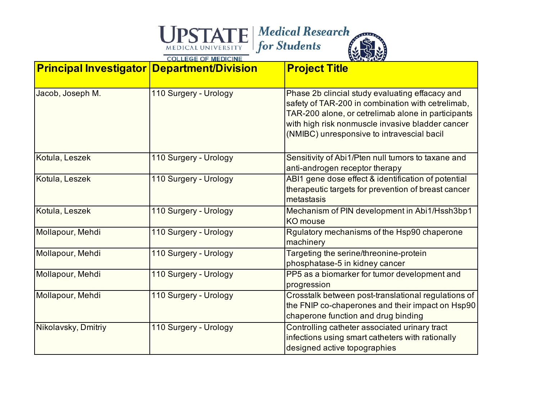| <b>Principal Investigator Department/Division</b> |                       | <b>Project Title</b>                                                                                                                                                                                                                                         |
|---------------------------------------------------|-----------------------|--------------------------------------------------------------------------------------------------------------------------------------------------------------------------------------------------------------------------------------------------------------|
| Jacob, Joseph M.                                  | 110 Surgery - Urology | Phase 2b clincial study evaluating effacacy and<br>safety of TAR-200 in combination with cetrelimab,<br>TAR-200 alone, or cetrelimab alone in participants<br>with high risk nonmuscle invasive bladder cancer<br>(NMIBC) unresponsive to intravescial bacil |
| Kotula, Leszek                                    | 110 Surgery - Urology | Sensitivity of Abi1/Pten null tumors to taxane and<br>anti-androgen receptor therapy                                                                                                                                                                         |
| Kotula, Leszek                                    | 110 Surgery - Urology | ABI1 gene dose effect & identification of potential<br>therapeutic targets for prevention of breast cancer<br>metastasis                                                                                                                                     |
| Kotula, Leszek                                    | 110 Surgery - Urology | Mechanism of PIN development in Abi1/Hssh3bp1<br><b>KO</b> mouse                                                                                                                                                                                             |
| Mollapour, Mehdi                                  | 110 Surgery - Urology | Rgulatory mechanisms of the Hsp90 chaperone<br>machinery                                                                                                                                                                                                     |
| Mollapour, Mehdi                                  | 110 Surgery - Urology | Targeting the serine/threonine-protein<br>phosphatase-5 in kidney cancer                                                                                                                                                                                     |
| Mollapour, Mehdi                                  | 110 Surgery - Urology | PP5 as a biomarker for tumor development and<br>progression                                                                                                                                                                                                  |
| Mollapour, Mehdi                                  | 110 Surgery - Urology | Crosstalk between post-translational regulations of<br>the FNIP co-chaperones and their impact on Hsp90<br>chaperone function and drug binding                                                                                                               |
| Nikolavsky, Dmitriy                               | 110 Surgery - Urology | Controlling catheter associated urinary tract<br>infections using smart catheters with rationally<br>designed active topographies                                                                                                                            |